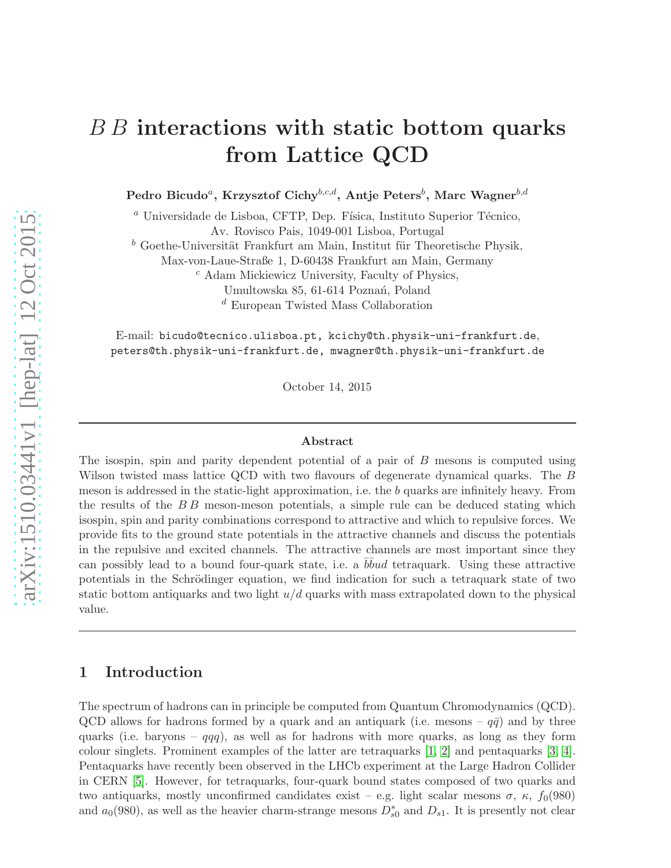# B B interactions with static bottom quarks from Lattice QCD

Pedro Bicudo $^a$ , Krzysztof Cichy $^{b,c,d},$  Antje Peters $^b,$  Marc Wagner $^{b,d}$ 

 $a$  Universidade de Lisboa, CFTP, Dep. Física, Instituto Superior Técnico, Av. Rovisco Pais, 1049-001 Lisboa, Portugal

 $\bar{b}$  Goethe-Universität Frankfurt am Main, Institut für Theoretische Physik,

Max-von-Laue-Straße 1, D-60438 Frankfurt am Main, Germany

 $c$  Adam Mickiewicz University, Faculty of Physics,

Umultowska 85, 61-614 Poznań, Poland

<sup>d</sup> European Twisted Mass Collaboration

E-mail: bicudo@tecnico.ulisboa.pt, kcichy@th.physik-uni-frankfurt.de, peters@th.physik-uni-frankfurt.de, mwagner@th.physik-uni-frankfurt.de

October 14, 2015

#### Abstract

The isospin, spin and parity dependent potential of a pair of B mesons is computed using Wilson twisted mass lattice QCD with two flavours of degenerate dynamical quarks. The B meson is addressed in the static-light approximation, i.e. the b quarks are infinitely heavy. From the results of the  $BB$  meson-meson potentials, a simple rule can be deduced stating which isospin, spin and parity combinations correspond to attractive and which to repulsive forces. We provide fits to the ground state potentials in the attractive channels and discuss the potentials in the repulsive and excited channels. The attractive channels are most important since they can possibly lead to a bound four-quark state, i.e. a  $b\bar{b}u$  tetraquark. Using these attractive potentials in the Schrödinger equation, we find indication for such a tetraquark state of two static bottom antiquarks and two light  $u/d$  quarks with mass extrapolated down to the physical value.

## 1 Introduction

The spectrum of hadrons can in principle be computed from Quantum Chromodynamics (QCD). QCD allows for hadrons formed by a quark and an antiquark (i.e. mesons –  $q\bar{q}$ ) and by three quarks (i.e. baryons –  $qqq$ ), as well as for hadrons with more quarks, as long as they form colour singlets. Prominent examples of the latter are tetraquarks [\[1,](#page-23-0) [2\]](#page-23-1) and pentaquarks [\[3,](#page-23-2) [4\]](#page-24-0). Pentaquarks have recently been observed in the LHCb experiment at the Large Hadron Collider in CERN [\[5\]](#page-24-1). However, for tetraquarks, four-quark bound states composed of two quarks and two antiquarks, mostly unconfirmed candidates exist – e.g. light scalar mesons  $\sigma$ ,  $\kappa$ ,  $f_0(980)$ and  $a_0(980)$ , as well as the heavier charm-strange mesons  $D_{s0}^*$  and  $D_{s1}$ . It is presently not clear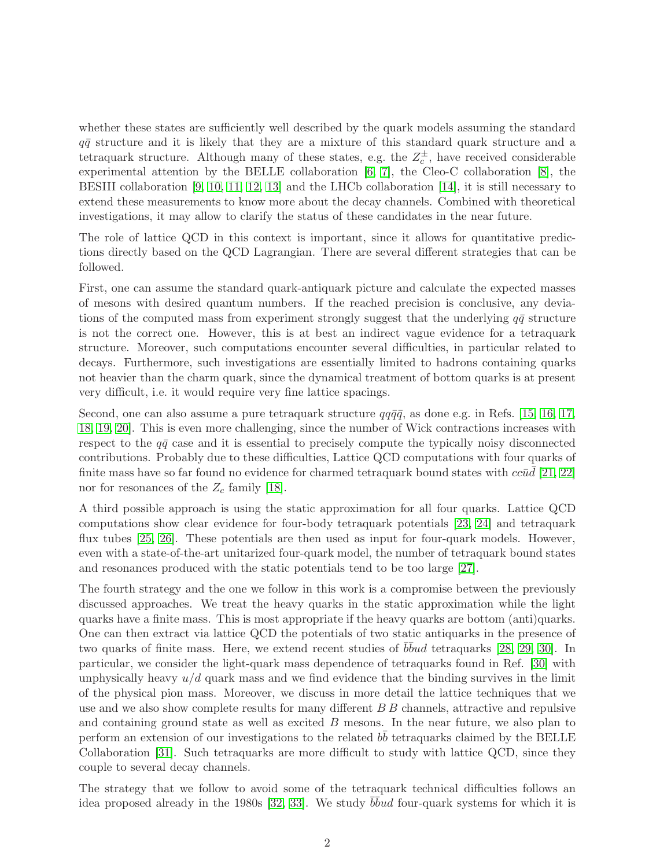whether these states are sufficiently well described by the quark models assuming the standard  $q\bar{q}$  structure and it is likely that they are a mixture of this standard quark structure and a tetraquark structure. Although many of these states, e.g. the  $Z_c^{\pm}$ , have received considerable experimental attention by the BELLE collaboration [\[6,](#page-24-2) [7\]](#page-24-3), the Cleo-C collaboration [\[8\]](#page-24-4), the BESIII collaboration [\[9,](#page-24-5) [10,](#page-24-6) [11,](#page-24-7) [12,](#page-24-8) [13\]](#page-24-9) and the LHCb collaboration [\[14\]](#page-24-10), it is still necessary to extend these measurements to know more about the decay channels. Combined with theoretical investigations, it may allow to clarify the status of these candidates in the near future.

The role of lattice QCD in this context is important, since it allows for quantitative predictions directly based on the QCD Lagrangian. There are several different strategies that can be followed.

First, one can assume the standard quark-antiquark picture and calculate the expected masses of mesons with desired quantum numbers. If the reached precision is conclusive, any deviations of the computed mass from experiment strongly suggest that the underlying  $q\bar{q}$  structure is not the correct one. However, this is at best an indirect vague evidence for a tetraquark structure. Moreover, such computations encounter several difficulties, in particular related to decays. Furthermore, such investigations are essentially limited to hadrons containing quarks not heavier than the charm quark, since the dynamical treatment of bottom quarks is at present very difficult, i.e. it would require very fine lattice spacings.

Second, one can also assume a pure tetraquark structure  $qq\bar{q}\bar{q}$ , as done e.g. in Refs. [\[15,](#page-24-11) [16,](#page-24-12) [17,](#page-24-13) [18,](#page-24-14) [19,](#page-24-15) [20\]](#page-24-16). This is even more challenging, since the number of Wick contractions increases with respect to the  $q\bar{q}$  case and it is essential to precisely compute the typically noisy disconnected contributions. Probably due to these difficulties, Lattice QCD computations with four quarks of finite mass have so far found no evidence for charmed tetraquark bound states with  $cc\bar{u}\bar{d}$  [\[21,](#page-24-17) [22\]](#page-24-18) nor for resonances of the  $Z_c$  family [\[18\]](#page-24-14).

A third possible approach is using the static approximation for all four quarks. Lattice QCD computations show clear evidence for four-body tetraquark potentials [\[23,](#page-25-0) [24\]](#page-25-1) and tetraquark flux tubes [\[25,](#page-25-2) [26\]](#page-25-3). These potentials are then used as input for four-quark models. However, even with a state-of-the-art unitarized four-quark model, the number of tetraquark bound states and resonances produced with the static potentials tend to be too large [\[27\]](#page-25-4).

The fourth strategy and the one we follow in this work is a compromise between the previously discussed approaches. We treat the heavy quarks in the static approximation while the light quarks have a finite mass. This is most appropriate if the heavy quarks are bottom (anti)quarks. One can then extract via lattice QCD the potentials of two static antiquarks in the presence of two quarks of finite mass. Here, we extend recent studies of  $b\bar{b}u$ d tetraquarks [\[28,](#page-25-5) [29,](#page-25-6) [30\]](#page-25-7). In particular, we consider the light-quark mass dependence of tetraquarks found in Ref. [\[30\]](#page-25-7) with unphysically heavy  $u/d$  quark mass and we find evidence that the binding survives in the limit of the physical pion mass. Moreover, we discuss in more detail the lattice techniques that we use and we also show complete results for many different B B channels, attractive and repulsive and containing ground state as well as excited B mesons. In the near future, we also plan to perform an extension of our investigations to the related  $b\bar{b}$  tetraquarks claimed by the BELLE Collaboration [\[31\]](#page-25-8). Such tetraquarks are more difficult to study with lattice QCD, since they couple to several decay channels.

The strategy that we follow to avoid some of the tetraquark technical difficulties follows an idea proposed already in the 1980s [\[32,](#page-25-9) [33\]](#page-25-10). We study  $b\bar{b}u$  four-quark systems for which it is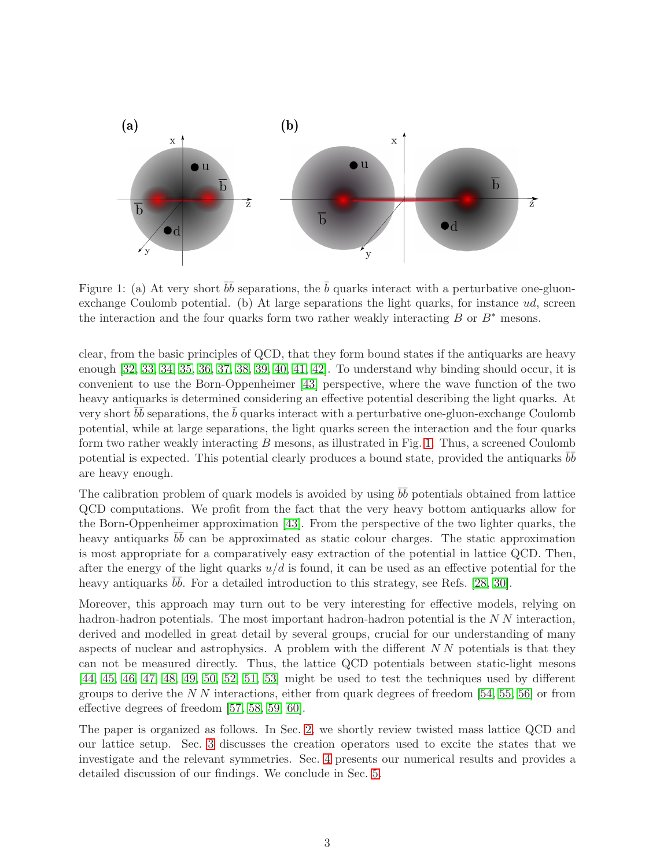

<span id="page-2-0"></span>Figure 1: (a) At very short  $\bar{b}\bar{b}$  separations, the  $\bar{b}$  quarks interact with a perturbative one-gluonexchange Coulomb potential. (b) At large separations the light quarks, for instance  $ud$ , screen the interaction and the four quarks form two rather weakly interacting B or  $B^*$  mesons.

clear, from the basic principles of QCD, that they form bound states if the antiquarks are heavy enough [\[32,](#page-25-9) [33,](#page-25-10) [34,](#page-25-11) [35,](#page-25-12) [36,](#page-25-13) [37,](#page-25-14) [38,](#page-25-15) [39,](#page-25-16) [40,](#page-25-17) [41,](#page-25-18) [42\]](#page-25-19). To understand why binding should occur, it is convenient to use the Born-Oppenheimer [\[43\]](#page-25-20) perspective, where the wave function of the two heavy antiquarks is determined considering an effective potential describing the light quarks. At very short  $b\bar{b}$  separations, the  $\bar{b}$  quarks interact with a perturbative one-gluon-exchange Coulomb potential, while at large separations, the light quarks screen the interaction and the four quarks form two rather weakly interacting  $B$  mesons, as illustrated in Fig. [1.](#page-2-0) Thus, a screened Coulomb potential is expected. This potential clearly produces a bound state, provided the antiquarks  $b\bar{b}$ are heavy enough.

The calibration problem of quark models is avoided by using  $b\bar{b}$  potentials obtained from lattice QCD computations. We profit from the fact that the very heavy bottom antiquarks allow for the Born-Oppenheimer approximation [\[43\]](#page-25-20). From the perspective of the two lighter quarks, the heavy antiquarks  $b\bar{b}$  can be approximated as static colour charges. The static approximation is most appropriate for a comparatively easy extraction of the potential in lattice QCD. Then, after the energy of the light quarks  $u/d$  is found, it can be used as an effective potential for the heavy antiquarks  $b\bar{b}$ . For a detailed introduction to this strategy, see Refs. [\[28,](#page-25-5) [30\]](#page-25-7).

Moreover, this approach may turn out to be very interesting for effective models, relying on hadron-hadron potentials. The most important hadron-hadron potential is the N N interaction, derived and modelled in great detail by several groups, crucial for our understanding of many aspects of nuclear and astrophysics. A problem with the different  $NN$  potentials is that they can not be measured directly. Thus, the lattice QCD potentials between static-light mesons [\[44,](#page-25-21) [45,](#page-25-22) [46,](#page-25-23) [47,](#page-26-0) [48,](#page-26-1) [49,](#page-26-2) [50,](#page-26-3) [52,](#page-26-4) [51,](#page-26-5) [53\]](#page-26-6) might be used to test the techniques used by different groups to derive the  $N N$  interactions, either from quark degrees of freedom [\[54,](#page-26-7) [55,](#page-26-8) [56\]](#page-26-9) or from effective degrees of freedom [\[57,](#page-26-10) [58,](#page-26-11) [59,](#page-26-12) [60\]](#page-26-13).

The paper is organized as follows. In Sec. [2,](#page-3-0) we shortly review twisted mass lattice QCD and our lattice setup. Sec. [3](#page-4-0) discusses the creation operators used to excite the states that we investigate and the relevant symmetries. Sec. [4](#page-11-0) presents our numerical results and provides a detailed discussion of our findings. We conclude in Sec. [5.](#page-22-0)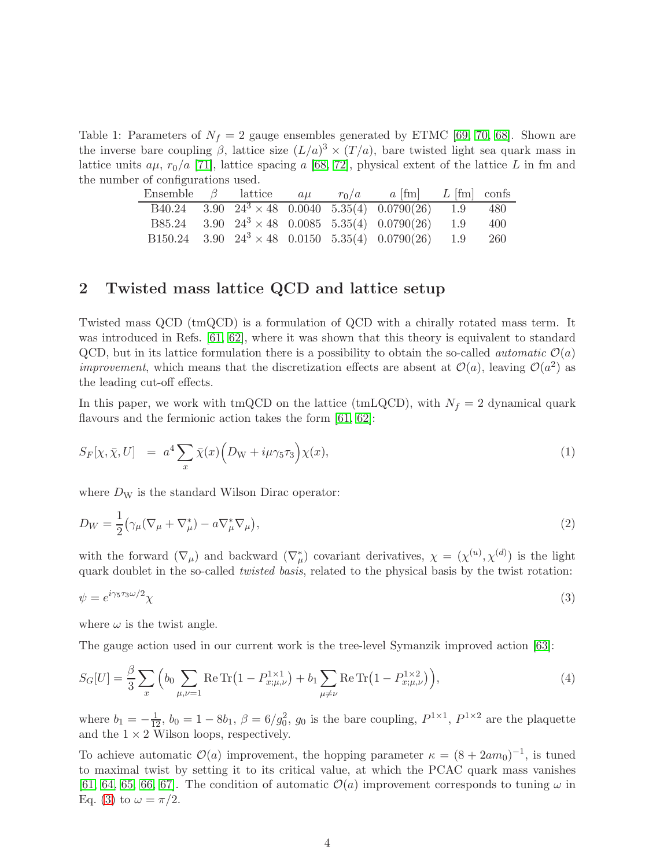Table 1: Parameters of  $N_f = 2$  gauge ensembles generated by ETMC [\[69,](#page-27-0) [70,](#page-27-1) [68\]](#page-27-2). Shown are the inverse bare coupling  $\beta$ , lattice size  $(L/a)^3 \times (T/a)$ , bare twisted light sea quark mass in lattice units  $a\mu$ ,  $r_0/a$  [\[71\]](#page-27-3), lattice spacing a [\[68,](#page-27-2) [72\]](#page-27-4), physical extent of the lattice L in fm and the number of configurations used.

<span id="page-3-2"></span>

| Ensemble $\beta$ lattice $a\mu$ |  |  | $r_0/a$ $a$ [fm] $L$ [fm] confs                                                                                                        |      |
|---------------------------------|--|--|----------------------------------------------------------------------------------------------------------------------------------------|------|
|                                 |  |  | $\overline{B40.24}$ $\overline{3.90}$ $\overline{24^3 \times 48}$ $\overline{0.0040}$ $\overline{5.35(4)}$ $\overline{0.0790(26)}$ 1.9 | 480  |
|                                 |  |  | B85.24 3.90 $24^3 \times 48$ 0.0085 5.35(4) 0.0790(26) 1.9                                                                             | 400  |
|                                 |  |  | B150.24 3.90 $24^3 \times 48$ 0.0150 5.35(4) 0.0790(26) 1.9                                                                            | -260 |

## <span id="page-3-0"></span>2 Twisted mass lattice QCD and lattice setup

Twisted mass QCD (tmQCD) is a formulation of QCD with a chirally rotated mass term. It was introduced in Refs. [\[61,](#page-26-14) [62\]](#page-26-15), where it was shown that this theory is equivalent to standard QCD, but in its lattice formulation there is a possibility to obtain the so-called *automatic*  $\mathcal{O}(a)$ *improvement*, which means that the discretization effects are absent at  $\mathcal{O}(a)$ , leaving  $\mathcal{O}(a^2)$  as the leading cut-off effects.

In this paper, we work with tmQCD on the lattice (tmLQCD), with  $N_f = 2$  dynamical quark flavours and the fermionic action takes the form [\[61,](#page-26-14) [62\]](#page-26-15):

<span id="page-3-3"></span>
$$
S_F[\chi, \bar{\chi}, U] = a^4 \sum_x \bar{\chi}(x) \Big( D_{\rm W} + i\mu \gamma_5 \tau_3 \Big) \chi(x), \tag{1}
$$

where  $D_W$  is the standard Wilson Dirac operator:

$$
D_W = \frac{1}{2} \left( \gamma_\mu (\nabla_\mu + \nabla_\mu^*) - a \nabla_\mu^* \nabla_\mu \right),\tag{2}
$$

with the forward  $(\nabla_{\mu})$  and backward  $(\nabla_{\mu}^{*})$  covariant derivatives,  $\chi = (\chi^{(u)}, \chi^{(d)})$  is the light quark doublet in the so-called *twisted basis*, related to the physical basis by the twist rotation:

<span id="page-3-1"></span>
$$
\psi = e^{i\gamma_5 \tau_3 \omega/2} \chi \tag{3}
$$

where  $\omega$  is the twist angle.

The gauge action used in our current work is the tree-level Symanzik improved action [\[63\]](#page-26-16):

$$
S_G[U] = \frac{\beta}{3} \sum_x \left( b_0 \sum_{\mu,\nu=1} \text{Re Tr} \left( 1 - P_{x;\mu,\nu}^{1\times1} \right) + b_1 \sum_{\mu \neq \nu} \text{Re Tr} \left( 1 - P_{x;\mu,\nu}^{1\times2} \right) \right),\tag{4}
$$

where  $b_1 = -\frac{1}{12}$ ,  $b_0 = 1 - 8b_1$ ,  $\beta = 6/g_0^2$ ,  $g_0$  is the bare coupling,  $P^{1 \times 1}$ ,  $P^{1 \times 2}$  are the plaquette and the  $1 \times 2$  Wilson loops, respectively.

To achieve automatic  $\mathcal{O}(a)$  improvement, the hopping parameter  $\kappa = (8 + 2am_0)^{-1}$ , is tuned to maximal twist by setting it to its critical value, at which the PCAC quark mass vanishes [\[61,](#page-26-14) [64,](#page-26-17) [65,](#page-26-18) [66,](#page-26-19) [67\]](#page-26-20). The condition of automatic  $\mathcal{O}(a)$  improvement corresponds to tuning  $\omega$  in Eq. [\(3\)](#page-3-1) to  $\omega = \pi/2$ .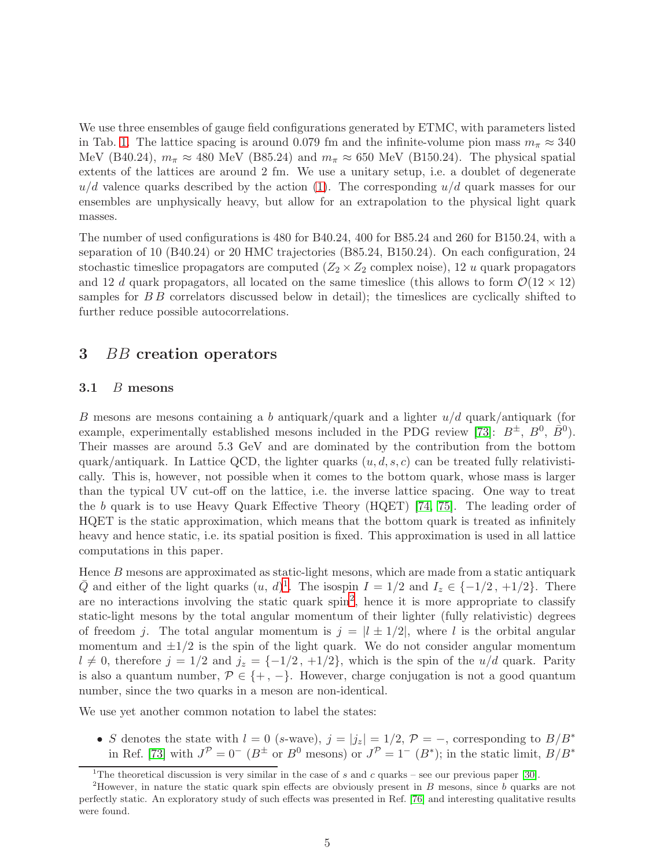We use three ensembles of gauge field configurations generated by ETMC, with parameters listed in Tab. [1.](#page-3-2) The lattice spacing is around 0.079 fm and the infinite-volume pion mass  $m_{\pi} \approx 340$ MeV (B40.24),  $m_{\pi} \approx 480$  MeV (B85.24) and  $m_{\pi} \approx 650$  MeV (B150.24). The physical spatial extents of the lattices are around 2 fm. We use a unitary setup, i.e. a doublet of degenerate  $u/d$  valence quarks described by the action [\(1\)](#page-3-3). The corresponding  $u/d$  quark masses for our ensembles are unphysically heavy, but allow for an extrapolation to the physical light quark masses.

The number of used configurations is 480 for B40.24, 400 for B85.24 and 260 for B150.24, with a separation of 10 (B40.24) or 20 HMC trajectories (B85.24, B150.24). On each configuration, 24 stochastic timeslice propagators are computed  $(Z_2 \times Z_2)$  complex noise), 12 u quark propagators and 12 d quark propagators, all located on the same timeslice (this allows to form  $\mathcal{O}(12 \times 12)$ ) samples for  $B\bar{B}$  correlators discussed below in detail); the timeslices are cyclically shifted to further reduce possible autocorrelations.

## <span id="page-4-0"></span>3 *BB* creation operators

## 3.1 B mesons

B mesons are mesons containing a b antiquark/quark and a lighter  $u/d$  quark/antiquark (for example, experimentally established mesons included in the PDG review [\[73\]](#page-27-5):  $B^{\pm}$ ,  $B^0$ ,  $\bar{B}^0$ ). Their masses are around 5.3 GeV and are dominated by the contribution from the bottom quark/antiquark. In Lattice QCD, the lighter quarks  $(u, d, s, c)$  can be treated fully relativistically. This is, however, not possible when it comes to the bottom quark, whose mass is larger than the typical UV cut-off on the lattice, i.e. the inverse lattice spacing. One way to treat the b quark is to use Heavy Quark Effective Theory (HQET) [\[74,](#page-27-6) [75\]](#page-27-7). The leading order of HQET is the static approximation, which means that the bottom quark is treated as infinitely heavy and hence static, i.e. its spatial position is fixed. This approximation is used in all lattice computations in this paper.

Hence  $B$  mesons are approximated as static-light mesons, which are made from a static antiquark  $\overline{Q}$  and either of the light quarks  $(u, d)^{1}$  $(u, d)^{1}$  $(u, d)^{1}$ . The isospin  $I = 1/2$  and  $I_z \in \{-1/2, +1/2\}$ . There are no interactions involving the static quark spin<sup>[2](#page-4-2)</sup>, hence it is more appropriate to classify static-light mesons by the total angular momentum of their lighter (fully relativistic) degrees of freedom j. The total angular momentum is  $j = |l \pm 1/2|$ , where l is the orbital angular momentum and  $\pm 1/2$  is the spin of the light quark. We do not consider angular momentum  $l \neq 0$ , therefore  $j = 1/2$  and  $j_z = \{-1/2, +1/2\}$ , which is the spin of the u/d quark. Parity is also a quantum number,  $P \in \{+, -\}.$  However, charge conjugation is not a good quantum number, since the two quarks in a meson are non-identical.

We use yet another common notation to label the states:

• S denotes the state with  $l = 0$  (s-wave),  $j = |j_z| = 1/2$ ,  $P = -$ , corresponding to  $B/B^*$ in Ref. [\[73\]](#page-27-5) with  $J^{\mathcal{P}} = 0^-$  ( $B^{\pm}$  or  $B^0$  mesons) or  $J^{\mathcal{P}} = 1^-$  ( $B^*$ ); in the static limit,  $B/B^*$ 

<span id="page-4-1"></span><sup>&</sup>lt;sup>1</sup>The theoretical discussion is very similar in the case of s and c quarks – see our previous paper [\[30\]](#page-25-7).

<span id="page-4-2"></span><sup>&</sup>lt;sup>2</sup>However, in nature the static quark spin effects are obviously present in  $B$  mesons, since  $b$  quarks are not perfectly static. An exploratory study of such effects was presented in Ref. [\[76\]](#page-27-8) and interesting qualitative results were found.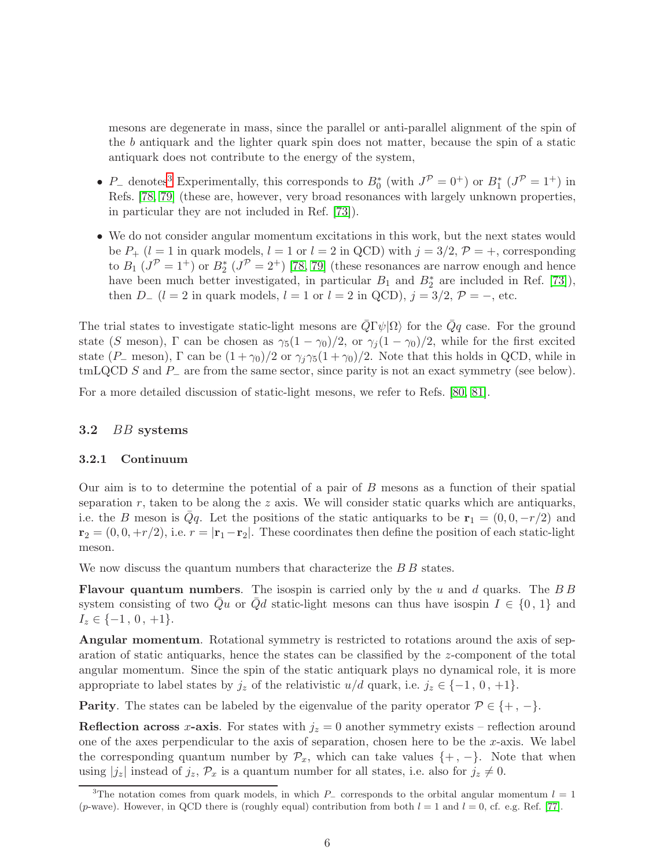mesons are degenerate in mass, since the parallel or anti-parallel alignment of the spin of the b antiquark and the lighter quark spin does not matter, because the spin of a static antiquark does not contribute to the energy of the system,

- P<sub>-</sub> denotes<sup>[3](#page-5-0)</sup> Experimentally, this corresponds to  $B_0^*$  (with  $J^P = 0^+$ ) or  $B_1^*$  ( $J^P = 1^+$ ) in Refs. [\[78,](#page-27-9) [79\]](#page-27-10) (these are, however, very broad resonances with largely unknown properties, in particular they are not included in Ref. [\[73\]](#page-27-5)).
- We do not consider angular momentum excitations in this work, but the next states would be  $P_+$  ( $l = 1$  in quark models,  $l = 1$  or  $l = 2$  in QCD) with  $j = 3/2$ ,  $P = +$ , corresponding to  $B_1$  ( $J^{\mathcal{P}} = 1^+$ ) or  $B_2^*$  ( $J^{\mathcal{P}} = 2^+$ ) [\[78,](#page-27-9) [79\]](#page-27-10) (these resonances are narrow enough and hence have been much better investigated, in particular  $B_1$  and  $B_2^*$  are included in Ref. [\[73\]](#page-27-5)), then  $D_{-}$  ( $l = 2$  in quark models,  $l = 1$  or  $l = 2$  in QCD),  $j = 3/2$ ,  $P = -$ , etc.

The trial states to investigate static-light mesons are  $Q\Gamma\psi|\Omega\rangle$  for the  $Qq$  case. For the ground state (S meson),  $\Gamma$  can be chosen as  $\gamma_5(1-\gamma_0)/2$ , or  $\gamma_j(1-\gamma_0)/2$ , while for the first excited state (P\_ meson),  $\Gamma$  can be  $(1 + \gamma_0)/2$  or  $\gamma_i \gamma_5 (1 + \gamma_0)/2$ . Note that this holds in QCD, while in tmLQCD S and P<sup>−</sup> are from the same sector, since parity is not an exact symmetry (see below).

For a more detailed discussion of static-light mesons, we refer to Refs. [\[80,](#page-27-11) [81\]](#page-27-12).

#### 3.2 BB systems

#### 3.2.1 Continuum

Our aim is to to determine the potential of a pair of B mesons as a function of their spatial separation  $r$ , taken to be along the  $z$  axis. We will consider static quarks which are antiquarks, i.e. the B meson is  $\overline{Q}q$ . Let the positions of the static antiquarks to be  $r_1 = (0, 0, -r/2)$  and  $\mathbf{r}_2 = (0, 0, +r/2)$ , i.e.  $r = |\mathbf{r}_1 - \mathbf{r}_2|$ . These coordinates then define the position of each static-light meson.

We now discuss the quantum numbers that characterize the B B states.

**Flavour quantum numbers.** The isospin is carried only by the u and d quarks. The  $BB$ system consisting of two Qu or Qd static-light mesons can thus have isospin  $I \in \{0, 1\}$  and  $I_z \in \{-1, 0, +1\}.$ 

Angular momentum. Rotational symmetry is restricted to rotations around the axis of separation of static antiquarks, hence the states can be classified by the z-component of the total angular momentum. Since the spin of the static antiquark plays no dynamical role, it is more appropriate to label states by  $j_z$  of the relativistic  $u/d$  quark, i.e.  $j_z \in \{-1, 0, +1\}$ .

**Parity.** The states can be labeled by the eigenvalue of the parity operator  $P \in \{+, -\}.$ 

**Reflection across x-axis.** For states with  $j_z = 0$  another symmetry exists – reflection around one of the axes perpendicular to the axis of separation, chosen here to be the  $x$ -axis. We label the corresponding quantum number by  $\mathcal{P}_x$ , which can take values  $\{+, -\}$ . Note that when using  $|j_z|$  instead of  $j_z$ ,  $\mathcal{P}_x$  is a quantum number for all states, i.e. also for  $j_z \neq 0$ .

<span id="page-5-0"></span><sup>&</sup>lt;sup>3</sup>The notation comes from quark models, in which P– corresponds to the orbital angular momentum  $l = 1$ (p-wave). However, in QCD there is (roughly equal) contribution from both  $l = 1$  and  $l = 0$ , cf. e.g. Ref. [\[77\]](#page-27-13).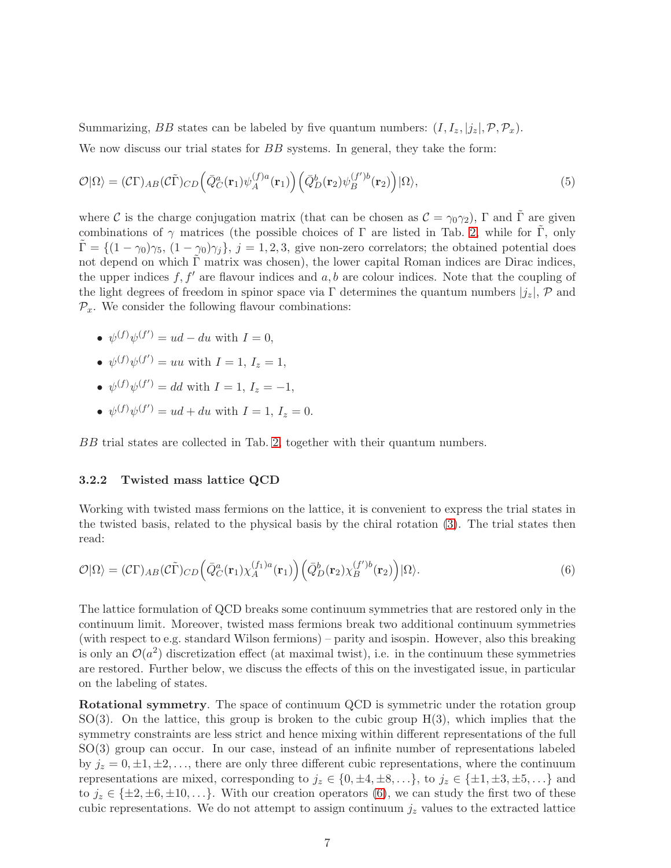Summarizing, BB states can be labeled by five quantum numbers:  $(I, I_z, |j_z|, \mathcal{P}, \mathcal{P}_x)$ .

We now discuss our trial states for BB systems. In general, they take the form:

<span id="page-6-1"></span>
$$
\mathcal{O}|\Omega\rangle = (\mathcal{C}\Gamma)_{AB}(\mathcal{C}\tilde{\Gamma})_{CD} \Big(\bar{Q}_C^a(\mathbf{r}_1)\psi_A^{(f)a}(\mathbf{r}_1)\Big) \Big(\bar{Q}_D^b(\mathbf{r}_2)\psi_B^{(f')b}(\mathbf{r}_2)\Big)|\Omega\rangle,\tag{5}
$$

where C is the charge conjugation matrix (that can be chosen as  $\mathcal{C} = \gamma_0 \gamma_2$ ),  $\Gamma$  and  $\tilde{\Gamma}$  are given combinations of  $\gamma$  matrices (the possible choices of Γ are listed in Tab. [2,](#page-7-0) while for Γ, only  $\Gamma = \{(1 - \gamma_0)\gamma_5, (1 - \gamma_0)\gamma_j\}, j = 1, 2, 3$ , give non-zero correlators; the obtained potential does not depend on which  $\tilde{\Gamma}$  matrix was chosen), the lower capital Roman indices are Dirac indices, the upper indices  $f, f'$  are flavour indices and  $a, b$  are colour indices. Note that the coupling of the light degrees of freedom in spinor space via Γ determines the quantum numbers  $|j_z|$ , P and  $\mathcal{P}_x$ . We consider the following flavour combinations:

- $\psi^{(f)}\psi^{(f')} = ud du$  with  $I = 0$ ,
- $\psi^{(f)}\psi^{(f')} = uu$  with  $I = 1, I_z = 1$ ,
- $\psi^{(f)}\psi^{(f')} = dd \text{ with } I = 1, I_z = -1,$
- $\psi^{(f)}\psi^{(f')} = ud + du$  with  $I = 1, I_z = 0$ .

BB trial states are collected in Tab. [2,](#page-7-0) together with their quantum numbers.

## 3.2.2 Twisted mass lattice QCD

Working with twisted mass fermions on the lattice, it is convenient to express the trial states in the twisted basis, related to the physical basis by the chiral rotation [\(3\)](#page-3-1). The trial states then read:

<span id="page-6-0"></span>
$$
\mathcal{O}|\Omega\rangle = (\mathcal{C}\Gamma)_{AB}(\mathcal{C}\tilde{\Gamma})_{CD} \Big(\bar{Q}_C^a(\mathbf{r}_1)\chi_A^{(f_1)a}(\mathbf{r}_1)\Big) \Big(\bar{Q}_D^b(\mathbf{r}_2)\chi_B^{(f')b}(\mathbf{r}_2)\Big)|\Omega\rangle. \tag{6}
$$

The lattice formulation of QCD breaks some continuum symmetries that are restored only in the continuum limit. Moreover, twisted mass fermions break two additional continuum symmetries (with respect to e.g. standard Wilson fermions) – parity and isospin. However, also this breaking is only an  $\mathcal{O}(a^2)$  discretization effect (at maximal twist), i.e. in the continuum these symmetries are restored. Further below, we discuss the effects of this on the investigated issue, in particular on the labeling of states.

Rotational symmetry. The space of continuum QCD is symmetric under the rotation group  $SO(3)$ . On the lattice, this group is broken to the cubic group  $H(3)$ , which implies that the symmetry constraints are less strict and hence mixing within different representations of the full SO(3) group can occur. In our case, instead of an infinite number of representations labeled by  $j_z = 0, \pm 1, \pm 2, \ldots$ , there are only three different cubic representations, where the continuum representations are mixed, corresponding to  $j_z \in \{0, \pm 4, \pm 8, \ldots\}$ , to  $j_z \in \{\pm 1, \pm 3, \pm 5, \ldots\}$  and to  $j_z \in {\pm 2, \pm 6, \pm 10, \ldots}$ . With our creation operators [\(6\)](#page-6-0), we can study the first two of these cubic representations. We do not attempt to assign continuum  $j_z$  values to the extracted lattice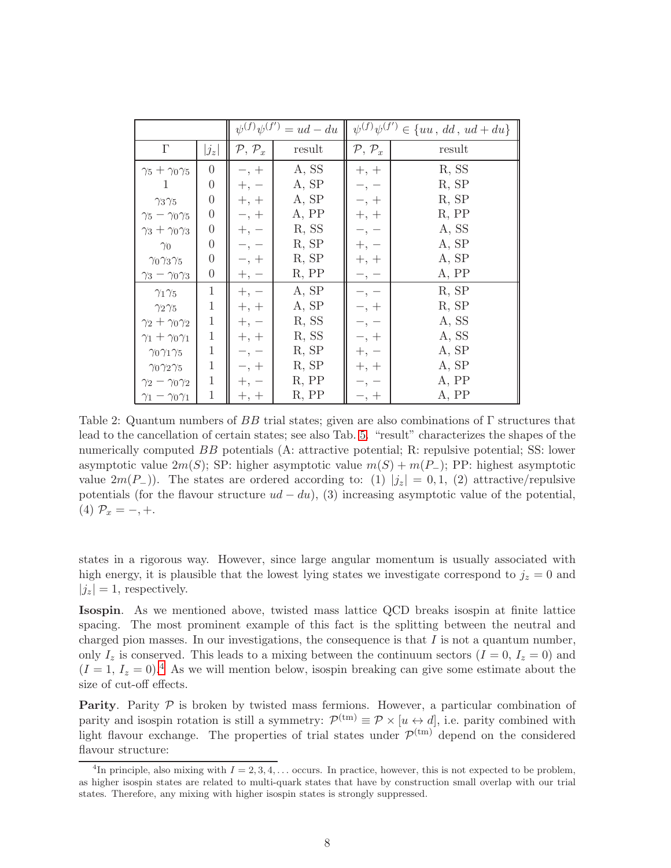|                                |                  | $\psi^{(f)}\psi^{(f')} = ud - du$ |        | $\psi^{(f)}\psi^{(f')} \in \{uu, dd, ud + du\}$ |        |  |
|--------------------------------|------------------|-----------------------------------|--------|-------------------------------------------------|--------|--|
| $\Gamma$                       | $ j_z $          | $\mathcal{P}, \mathcal{P}_x$      | result | $P, P_x$                                        | result |  |
| $\gamma_5 + \gamma_0 \gamma_5$ | 0                | $-$ , $+$                         | A, SS  | $+, +$                                          | R, SS  |  |
| 1                              | $\boldsymbol{0}$ | $+,-$                             | A, SP  | — ,                                             | R, SP  |  |
| $\gamma_3\gamma_5$             | $\boldsymbol{0}$ | $+, +$                            | A, SP  | $-$ , $+$                                       | R, SP  |  |
| $\gamma_5 - \gamma_0 \gamma_5$ | $\overline{0}$   | $-$ , $+$                         | A, PP  | $+, +$                                          | R, PP  |  |
| $\gamma_3 + \gamma_0 \gamma_3$ | $\overline{0}$   | $+,-$                             | R, SS  |                                                 | A, SS  |  |
| $\gamma_0$                     | $\overline{0}$   |                                   | R, SP  | $^{+,\,}$                                       | A, SP  |  |
| $\gamma_0\gamma_3\gamma_5$     | $\boldsymbol{0}$ | $-$ , $+$                         | R, SP  | $+, +$                                          | A, SP  |  |
| $\gamma_3 - \gamma_0 \gamma_3$ | $\overline{0}$   | $+, -$                            | R, PP  | $-$ , $-$                                       | A, PP  |  |
| $\gamma_1\gamma_5$             | $\mathbf 1$      | $+, -$                            | A, SP  | —,                                              | R, SP  |  |
| $\gamma_2\gamma_5$             | $\mathbf{1}$     | $+, +$                            | A, SP  | $-$ , $+$                                       | R, SP  |  |
| $\gamma_2 + \gamma_0 \gamma_2$ | 1                | $+,\,-$                           | R, SS  |                                                 | A, SS  |  |
| $\gamma_1 + \gamma_0 \gamma_1$ | $\mathbf{1}$     | $+, +$                            | R, SS  | $-$ , $+$                                       | A, SS  |  |
| $\gamma_0\gamma_1\gamma_5$     | $\mathbf{1}$     | — ,                               | R, SP  | $+,$                                            | A, SP  |  |
| $\gamma_0\gamma_2\gamma_5$     | $\mathbf 1$      | $- , +$                           | R, SP  | $+, +$                                          | A, SP  |  |
| $\gamma_2-\gamma_0\gamma_2$    | $\mathbf{1}$     | $+,\,-$                           | R, PP  |                                                 | A, PP  |  |
| $\gamma_1-\gamma_0\gamma_1$    | $\mathbf{1}$     | $+, +$                            | R, PP  | $- , +$                                         | A, PP  |  |

<span id="page-7-0"></span>Table 2: Quantum numbers of BB trial states; given are also combinations of  $\Gamma$  structures that lead to the cancellation of certain states; see also Tab. [5.](#page-11-1) "result" characterizes the shapes of the numerically computed BB potentials (A: attractive potential; R: repulsive potential; SS: lower asymptotic value  $2m(S)$ ; SP: higher asymptotic value  $m(S) + m(P_{-})$ ; PP: highest asymptotic value  $2m(P_{-})$ ). The states are ordered according to: (1)  $|j_z| = 0, 1, (2)$  attractive/repulsive potentials (for the flavour structure  $ud - du$ ), (3) increasing asymptotic value of the potential, (4)  $\mathcal{P}_x = -, +.$ 

states in a rigorous way. However, since large angular momentum is usually associated with high energy, it is plausible that the lowest lying states we investigate correspond to  $j_z = 0$  and  $|j_z| = 1$ , respectively.

Isospin. As we mentioned above, twisted mass lattice QCD breaks isospin at finite lattice spacing. The most prominent example of this fact is the splitting between the neutral and charged pion masses. In our investigations, the consequence is that  $I$  is not a quantum number, only  $I_z$  is conserved. This leads to a mixing between the continuum sectors  $(I = 0, I_z = 0)$  and  $(I = 1, I_z = 0)^{4}$  $(I = 1, I_z = 0)^{4}$  $(I = 1, I_z = 0)^{4}$  As we will mention below, isospin breaking can give some estimate about the size of cut-off effects.

**Parity.** Parity  $P$  is broken by twisted mass fermions. However, a particular combination of parity and isospin rotation is still a symmetry:  $\mathcal{P}^{(tm)} \equiv \mathcal{P} \times [u \leftrightarrow d]$ , i.e. parity combined with light flavour exchange. The properties of trial states under  $\mathcal{P}^{(tm)}$  depend on the considered flavour structure:

<span id="page-7-1"></span><sup>&</sup>lt;sup>4</sup>In principle, also mixing with  $I = 2, 3, 4, \ldots$  occurs. In practice, however, this is not expected to be problem, as higher isospin states are related to multi-quark states that have by construction small overlap with our trial states. Therefore, any mixing with higher isospin states is strongly suppressed.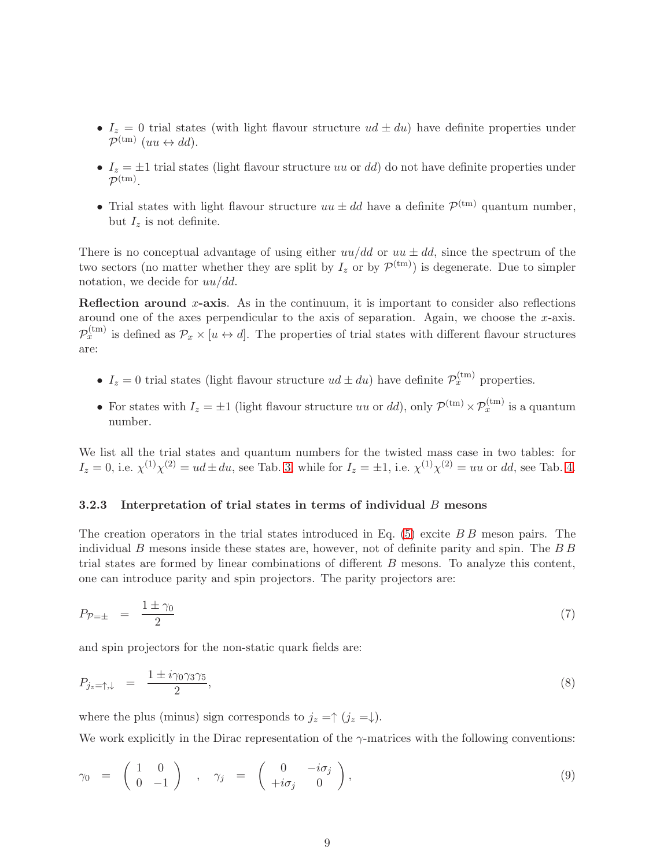- $I_z = 0$  trial states (with light flavour structure  $ud \pm du$ ) have definite properties under  $\mathcal{P}^{(\text{tm})}$  (uu  $\leftrightarrow dd$ ).
- $I_z = \pm 1$  trial states (light flavour structure uu or dd) do not have definite properties under  $\mathcal{P}^{(\mathrm{tm})}.$
- Trial states with light flavour structure  $uu \pm dd$  have a definite  $\mathcal{P}^{(tm)}$  quantum number, but  $I_z$  is not definite.

There is no conceptual advantage of using either  $uu/dd$  or  $uu \pm dd$ , since the spectrum of the two sectors (no matter whether they are split by  $I_z$  or by  $\mathcal{P}^{(tm)}$ ) is degenerate. Due to simpler notation, we decide for  $uu/dd$ .

Reflection around x-axis. As in the continuum, it is important to consider also reflections around one of the axes perpendicular to the axis of separation. Again, we choose the  $x$ -axis.  $\mathcal{P}_x^{(tm)}$  is defined as  $\mathcal{P}_x \times [u \leftrightarrow d]$ . The properties of trial states with different flavour structures are:

- $I_z = 0$  trial states (light flavour structure  $ud \pm du$ ) have definite  $\mathcal{P}_x^{(tm)}$  properties.
- For states with  $I_z = \pm 1$  (light flavour structure uu or dd), only  $\mathcal{P}^{(tm)} \times \mathcal{P}^{(tm)}_x$  is a quantum number.

We list all the trial states and quantum numbers for the twisted mass case in two tables: for  $I_z = 0$ , i.e.  $\chi^{(1)} \chi^{(2)} = ud \pm du$ , see Tab. [3,](#page-9-0) while for  $I_z = \pm 1$ , i.e.  $\chi^{(1)} \chi^{(2)} = uu$  or dd, see Tab. [4.](#page-10-0)

### 3.2.3 Interpretation of trial states in terms of individual B mesons

The creation operators in the trial states introduced in Eq. [\(5\)](#page-6-1) excite B B meson pairs. The individual B mesons inside these states are, however, not of definite parity and spin. The  $B\overline{B}$ trial states are formed by linear combinations of different B mesons. To analyze this content, one can introduce parity and spin projectors. The parity projectors are:

$$
P_{\mathcal{P}=\pm} = \frac{1 \pm \gamma_0}{2} \tag{7}
$$

and spin projectors for the non-static quark fields are:

$$
P_{j_z=\uparrow,\downarrow} = \frac{1 \pm i\gamma_0\gamma_3\gamma_5}{2},\tag{8}
$$

where the plus (minus) sign corresponds to  $j_z = \uparrow (j_z = \downarrow)$ .

We work explicitly in the Dirac representation of the  $\gamma$ -matrices with the following conventions:

$$
\gamma_0 = \begin{pmatrix} 1 & 0 \\ 0 & -1 \end{pmatrix} , \quad \gamma_j = \begin{pmatrix} 0 & -i\sigma_j \\ +i\sigma_j & 0 \end{pmatrix}, \tag{9}
$$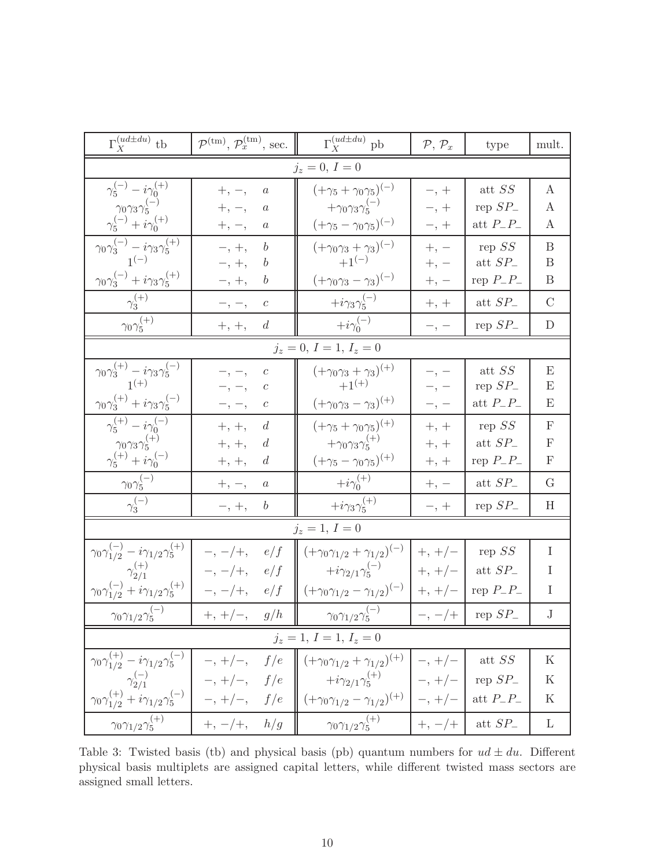| $\Gamma_X^{(ud\pm du)}$ tb                                                                                                                                                                                                                                                                                                                                | $\mathcal{P}^{(\text{tm})}, \mathcal{P}_x^{(\text{tm})}, \text{sec.}$ | $\Gamma_X^{(ud\pm du)}$ pb                                                          | $\mathcal{P}, \mathcal{P}_x$ | type                         | mult.            |  |  |
|-----------------------------------------------------------------------------------------------------------------------------------------------------------------------------------------------------------------------------------------------------------------------------------------------------------------------------------------------------------|-----------------------------------------------------------------------|-------------------------------------------------------------------------------------|------------------------------|------------------------------|------------------|--|--|
| $j_z = 0, I = 0$                                                                                                                                                                                                                                                                                                                                          |                                                                       |                                                                                     |                              |                              |                  |  |  |
| $\gamma_5^{(-)}-i\gamma_0^{(+)}$                                                                                                                                                                                                                                                                                                                          | $+,\,-,$<br>$\it a$                                                   | $(+\gamma_5 + \gamma_0 \gamma_5)^{(-)}$                                             | $-$ , +                      | att $\mathcal{S}\mathcal{S}$ | $\boldsymbol{A}$ |  |  |
| $\gamma_0\gamma_3\gamma_5^{(-)}$                                                                                                                                                                                                                                                                                                                          | $+, -$<br>$\it a$                                                     | $+\gamma_0\gamma_3\gamma_5^{(-)}$                                                   | $-$ , $+$                    | rep $SP_{-}$                 | A                |  |  |
| $\gamma_5^{(-)}+i\gamma_0^{(+)}$                                                                                                                                                                                                                                                                                                                          | $+$ , $-$ ,<br>$\it a$                                                | $(+\gamma_5 - \gamma_0 \gamma_5)^{(-)}$                                             | $-$ , $+$                    | att $P_{-}P_{-}$             | A                |  |  |
| $\gamma_0\gamma_3^{(-)}-i\gamma_3\gamma_5^{(+)}$                                                                                                                                                                                                                                                                                                          | $-$ , $+$ ,<br>$\boldsymbol{b}$                                       | $(+\gamma_0\gamma_3 + \gamma_3)^{(-)}$                                              | $+\text{, -}$                | rep $\cal{S}\cal{S}$         | B                |  |  |
| $1^{(-)}$                                                                                                                                                                                                                                                                                                                                                 | $-,\,+,\,$                                                            | $+1^{(-)}$                                                                          | $+, -$                       | att $SP_{-}$                 | $\boldsymbol{B}$ |  |  |
| $\gamma_0 \gamma_3^{(-)} + i \gamma_3 \gamma_5^{(+)}$                                                                                                                                                                                                                                                                                                     | b<br>$-$ , $+$ ,                                                      | $(+\gamma_0\gamma_3-\gamma_3)^{(-)}$                                                | $+, -$                       | rep $P_{-}P_{-}$             | $\boldsymbol{B}$ |  |  |
| $\gamma_{3}^{(+)}$                                                                                                                                                                                                                                                                                                                                        | $-,\,-,$<br>$\boldsymbol{c}$                                          | $+i\gamma_3\gamma_5^{(-)}$                                                          | $+, +$                       | att $SP_{-}$                 | $\mathcal{C}$    |  |  |
| $\gamma_0\gamma_5^{(+)}$                                                                                                                                                                                                                                                                                                                                  | $+, +,$<br>$\overline{d}$                                             | $+i\gamma_0^{(-)}$                                                                  | $- ,$ $-$                    | rep $SP_{-}$                 | $\mathbf D$      |  |  |
|                                                                                                                                                                                                                                                                                                                                                           |                                                                       | $j_z = 0, I = 1, I_z = 0$                                                           |                              |                              |                  |  |  |
| $\gamma_0\gamma_3^{(+)}-i\gamma_3\gamma_5^{(-)}\\ 1^{(+)}$                                                                                                                                                                                                                                                                                                | $-,\,-,$<br>$\,c\,$                                                   | $(+\gamma_0\gamma_3+\gamma_3)^{(+)}$                                                | $-\, ,\, -$                  | att $\mathcal{S}\mathcal{S}$ | E                |  |  |
|                                                                                                                                                                                                                                                                                                                                                           | $-$ , $-$ ,<br>$\boldsymbol{c}$                                       | $+1^{(+)}$                                                                          | $-$ , $-$                    | rep $SP_$                    | E                |  |  |
| $\gamma_0 \gamma_3^{(+)} + i \gamma_3 \gamma_5^{(-)}$                                                                                                                                                                                                                                                                                                     | с<br>$-$ , $-$ ,                                                      | $(+\gamma_0\gamma_3-\gamma_3)^{(+)}$                                                | $-$ , $-$                    | att $P_{-}P_{-}$             | Ε                |  |  |
| $\gamma_5^{(+)}-i\gamma_0^{(-)}$                                                                                                                                                                                                                                                                                                                          | $+,\,+ ,$<br>$\boldsymbol{d}$                                         | $(+\gamma_5 + \gamma_0 \gamma_5)^{(+)}$                                             | $+, +$                       | rep SS                       | $\mathbf{F}$     |  |  |
| $\gamma_0 \gamma_3 \gamma_5^{(+)}$                                                                                                                                                                                                                                                                                                                        | $+,\,+ ,$<br>d                                                        | $+\gamma_0\gamma_3\gamma_5^{(+)}$                                                   | $+\mathrm{,}$ $+$            | att $SP_{-}$                 | $\mathbf{F}$     |  |  |
| $\gamma_5^{(+)}+i\gamma_0^{(-)}$                                                                                                                                                                                                                                                                                                                          | d<br>$+,\,+ ,$                                                        | $(+\gamma_5 - \gamma_0 \gamma_5)^{(+)}$                                             | $+, +$                       | rep $P_{-}P_{-}$             | $\mathbf F$      |  |  |
| $\gamma_0\gamma_5^{(-)}$                                                                                                                                                                                                                                                                                                                                  | $+,\,-,$<br>$\boldsymbol{a}$                                          | $+i\gamma_0^{(+)}$                                                                  | $+\,,\,-$                    | att $SP_{-}$                 | G                |  |  |
| $\gamma_3^{(-)}$                                                                                                                                                                                                                                                                                                                                          | $-,\,+,\,$<br>$\boldsymbol{b}$                                        | $+i\gamma_3\gamma_5^{(+)}$                                                          | $- ,\, +$                    | rep $SP_{-}$                 | H                |  |  |
|                                                                                                                                                                                                                                                                                                                                                           |                                                                       | $j_z = 1, I = 0$                                                                    |                              |                              |                  |  |  |
| $\gamma_0 \gamma_{1/2}^{(-)} - i \gamma_{1/2} \gamma_5^{(+)}$                                                                                                                                                                                                                                                                                             | $-$ , $-$ /+,<br>e/f                                                  | $(+\gamma_0\gamma_{1/2}+\gamma_{1/2})^{(-)}$                                        | $+, +/-$                     | rep $SS$                     | $\bf{I}$         |  |  |
| $\gamma_{2/1}^{(+)}$                                                                                                                                                                                                                                                                                                                                      | e/f<br>$-$ , $-$ /+,                                                  | $+i\gamma_{2/1}\gamma_{5}^{(-)}$                                                    | $+, + / -$                   | att $SP_{-}$                 | Ι                |  |  |
| $\gamma_0 \gamma_{1/2}^{(-)} + i \gamma_{1/2} \gamma_5^{(+)}$                                                                                                                                                                                                                                                                                             | $-$ , $-$ /+,<br>e/f                                                  | $(+\gamma_0\gamma_{1/2}-\gamma_{1/2})^{(-)}$                                        | $+, +/-$                     | rep $P_{-}P_{-}$             | $\bf{I}$         |  |  |
| $\gamma_0\gamma_{1/2}\gamma_5^{(-)}$                                                                                                                                                                                                                                                                                                                      | $+, +/-,$<br>g/h                                                      | $\gamma_0\gamma_{1/2}\gamma_5^{(-)}$                                                | $-$ , $-$ /+                 | rep $SP_{-}$                 | $\bf J$          |  |  |
| $j_z = 1, I = 1, I_z = 0$                                                                                                                                                                                                                                                                                                                                 |                                                                       |                                                                                     |                              |                              |                  |  |  |
|                                                                                                                                                                                                                                                                                                                                                           |                                                                       | $(+\gamma_0\gamma_{1/2}+\gamma_{1/2})^{(+)}$                                        | $-$ , +/-                    | att SS                       | K                |  |  |
|                                                                                                                                                                                                                                                                                                                                                           |                                                                       | $+i\gamma_{2/1}\gamma_{5}^{(+)}$ $-$ , +/-                                          |                              | rep $SP_$                    | $\rm K$          |  |  |
| $\begin{array}{c c c} \gamma_0\gamma_{1/2}^{\scriptscriptstyle{(\tau)}}-i\gamma_{1/2}\gamma_5^{\scriptscriptstyle{(\tau)}} & -, +/- & f/e & (+) \\ \gamma_{2/1}^{\scriptscriptstyle{(-)}} & -, +/- & f/e & (+) \\ \gamma_0\gamma_{1/2}^{\scriptscriptstyle{(\pm)}}+i\gamma_{1/2}\gamma_5^{\scriptscriptstyle{(\pm)}} & -, +/- & f/e & (+) \\ \end{array}$ |                                                                       | $\left  \left( +\gamma_0 \gamma_{1/2} - \gamma_{1/2} \right)^{(+)} \right  - , +/-$ |                              | att $P_{-}P_{-}$             | K                |  |  |
| $\gamma_0\gamma_{1/2}\overline{\gamma_5^{(+)}}$                                                                                                                                                                                                                                                                                                           | $\begin{array}{ c c c c c }\n\hline\n&+,-/+,&h/g\n\end{array}$        | $\gamma_0\gamma_{1/2}\gamma_5^{(+)}$                                                | $ +, -/+$                    | att $SP_{-}$                 | L                |  |  |

<span id="page-9-0"></span>Table 3: Twisted basis (tb) and physical basis (pb) quantum numbers for  $ud \pm du$ . Different physical basis multiplets are assigned capital letters, while different twisted mass sectors are assigned small letters.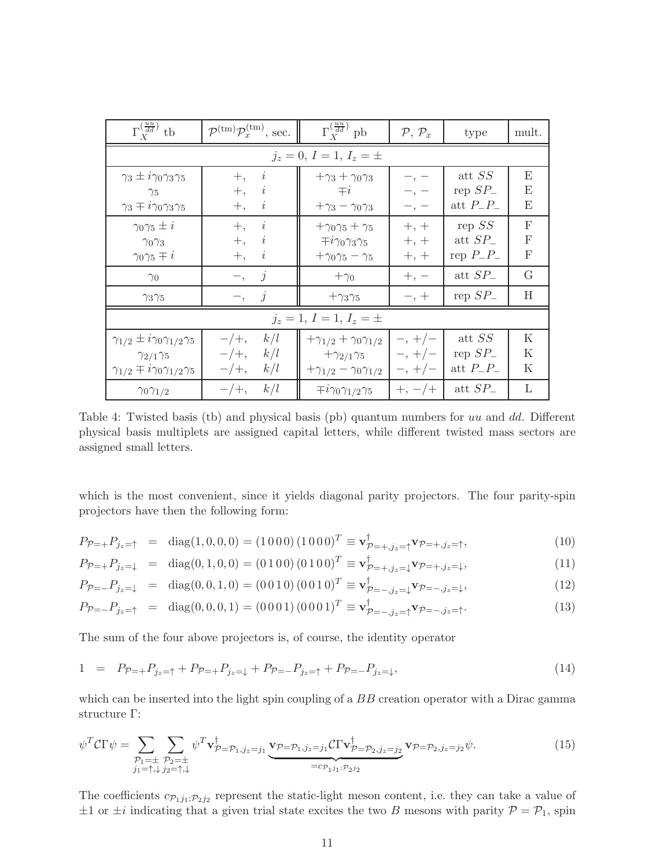| $\Gamma_X^{(\frac{uu}{dd})}$ tb                     | $\mathcal{P}^{(\text{tm})} \mathcal{P}_x^{(\text{tm})}$ , sec. | $\Gamma_{X}^{\left(\frac{uu}{dd}\right)}$ pb | $P, P_x$    | type             | mult. |
|-----------------------------------------------------|----------------------------------------------------------------|----------------------------------------------|-------------|------------------|-------|
|                                                     |                                                                | $j_z = 0, I = 1, I_z = \pm$                  |             |                  |       |
| $\gamma_3 \pm i\gamma_0\gamma_3\gamma_5$            | $\boldsymbol{i}$<br>$+,$                                       | $+\gamma_3 + \gamma_0 \gamma_3$              | $-$ , $-$   | att SS           | Ε     |
| $\gamma_5$                                          | $\dot{\imath}$<br>$+,$                                         | $\mp i$                                      | $-$ , $-$   | rep $SP_{-}$     | E     |
| $\gamma_3 \mp i\gamma_0\gamma_3\gamma_5$            | $+,$<br>i                                                      | $+\gamma_3 - \gamma_0\gamma_3$               | $-$ , $-$   | att $P_{-}P_{-}$ | E     |
| $\gamma_0\gamma_5\pm i$                             | $\it i$<br>$+,$                                                | $+\gamma_0\gamma_5+\gamma_5$                 | $+, +$      | rep $SS$         | F     |
| $\gamma_0\gamma_3$                                  | $\dot{\imath}$<br>$+$ ,                                        | $\mp i\gamma_0\gamma_3\gamma_5$              | $+, +$      | att $SP_{-}$     | F     |
| $\gamma_0\gamma_5\mp i$                             | $\overline{\imath}$<br>$+,$                                    | $+\gamma_0\gamma_5-\gamma_5$                 | $+, +$      | rep $P_{-}P_{-}$ | F     |
| $\gamma_0$                                          | $\overline{\mathcal{U}}$<br><sup>-</sup> ,                     | $+\gamma_0$                                  | $+, -$      | att $SP_{-}$     | G     |
| $\gamma_3\gamma_5$                                  | $-$ , j                                                        | $+\gamma_3\gamma_5$                          | $-$ , $+$   | rep $SP_{-}$     | H     |
| $j_z = 1, I = 1, I_z = \pm$                         |                                                                |                                              |             |                  |       |
| $\gamma_{1/2} \pm i\gamma_0\gamma_{1/2}\gamma_5$    | k/l<br>$-/+,$                                                  | $+\gamma_{1/2} + \gamma_0 \gamma_{1/2}$      | $-$ , +/-   | att $SS$         | K     |
| $\gamma_{2/1}\gamma_5$                              | k/l<br>$-/+,$                                                  | $+\gamma_{2/1}\gamma_5$                      | $-$ , +/-   | rep $SP_{-}$     | K     |
| $\gamma_{1/2} \mp i \gamma_0 \gamma_{1/2} \gamma_5$ | $-\,+\,$<br>k/l                                                | $+\gamma_{1/2} - \gamma_0 \gamma_{1/2}$      | $-$ , $+/-$ | att $P_{-}P_{-}$ | K     |
| $\gamma_0\gamma_{1/2}$                              | k/l<br>$-/+,$                                                  | $\mp i\gamma_0\gamma_{1/2}\gamma_5$          | $+, -/+$    | att $SP_{-}$     | L     |

<span id="page-10-0"></span>Table 4: Twisted basis (tb) and physical basis (pb) quantum numbers for uu and dd. Different physical basis multiplets are assigned capital letters, while different twisted mass sectors are assigned small letters.

which is the most convenient, since it yields diagonal parity projectors. The four parity-spin projectors have then the following form:

$$
P_{\mathcal{P}=+}P_{j_z=\uparrow} = \text{diag}(1,0,0,0) = (1\ 0\ 0\ 0)(1\ 0\ 0\ 0)^T \equiv \mathbf{v}_{\mathcal{P}=+,j_z=\uparrow}^{\dagger} \mathbf{v}_{\mathcal{P}=+,j_z=\uparrow},\tag{10}
$$

$$
P_{\mathcal{P}=+}P_{j_z=\downarrow} = \text{diag}(0,1,0,0) = (0\ 1\ 0\ 0)\ (0\ 1\ 0\ 0)^T \equiv \mathbf{v}_{\mathcal{P}=+,j_z=\downarrow}^{\dagger} \mathbf{v}_{\mathcal{P}=+,j_z=\downarrow},\tag{11}
$$

$$
P_{\mathcal{P}=-}P_{j_z=\downarrow} = \text{diag}(0,0,1,0) = (0\ 0\ 1\ 0)\ (0\ 0\ 1\ 0)^T \equiv \mathbf{v}_{\mathcal{P}=-,j_z=\downarrow}^{\dagger} \mathbf{v}_{\mathcal{P}=-,j_z=\downarrow},\tag{12}
$$

$$
P_{\mathcal{P}=-}P_{j_z=\uparrow} = \text{diag}(0,0,0,1) = (0\ 0\ 0\ 1)\ (0\ 0\ 0\ 1)^T \equiv \mathbf{v}_{\mathcal{P}=-,j_z=\uparrow}^{\dagger} \mathbf{v}_{\mathcal{P}=-,j_z=\uparrow}.
$$
 (13)

The sum of the four above projectors is, of course, the identity operator

$$
1 = P_{\mathcal{P}=+} P_{j_z= \uparrow} + P_{\mathcal{P}=+} P_{j_z= \downarrow} + P_{\mathcal{P}=-} P_{j_z= \uparrow} + P_{\mathcal{P}=-} P_{j_z= \downarrow}, \tag{14}
$$

which can be inserted into the light spin coupling of a BB creation operator with a Dirac gamma structure Γ:

$$
\psi^T \mathcal{C} \Gamma \psi = \sum_{\substack{\mathcal{P}_1 = \pm \\ j_1 = \uparrow, \downarrow}} \sum_{\substack{\mathcal{P}_2 = \pm \\ \mathcal{P}_2 = \uparrow, \downarrow}} \psi^T \mathbf{v}_{\mathcal{P} = \mathcal{P}_1, j_z = j_1}^{\dagger} \underbrace{\mathbf{v}_{\mathcal{P} = \mathcal{P}_1, j_z = j_1}} \mathbf{v}_{\mathcal{P} = \mathcal{P}_2, j_z = j_2} \mathbf{v}_{\mathcal{P} = \mathcal{P}_2, j_z = j_2} \psi.
$$
\n(15)

The coefficients  $c_{\mathcal{P}_1j_1;\mathcal{P}_2j_2}$  represent the static-light meson content, i.e. they can take a value of  $\pm 1$  or  $\pm i$  indicating that a given trial state excites the two B mesons with parity  $P = P_1$ , spin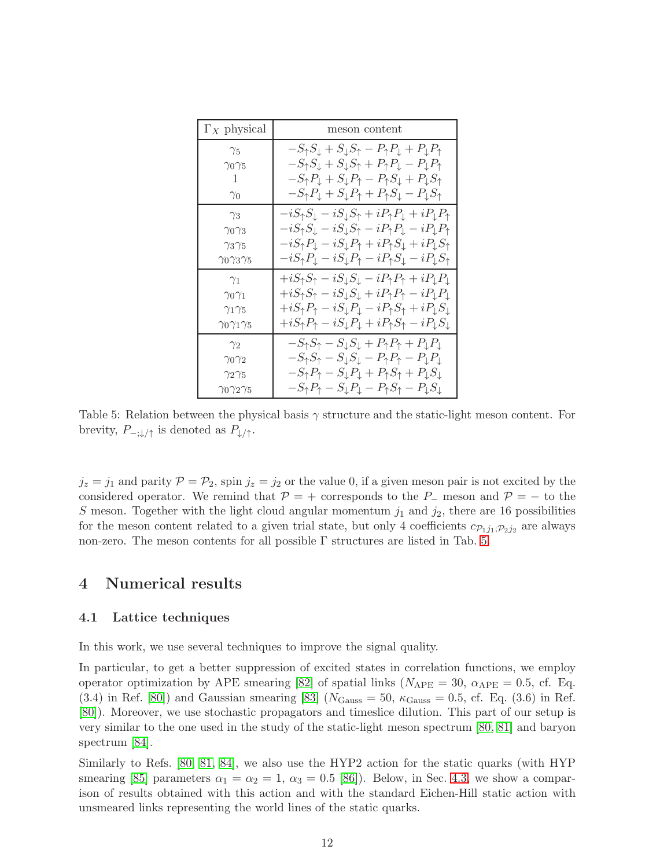| $\Gamma_X$ physical        | meson content                                                                                                      |
|----------------------------|--------------------------------------------------------------------------------------------------------------------|
| $\gamma_5$                 | $-S_{\uparrow}S_{\downarrow}+S_{\downarrow}S_{\uparrow}-P_{\uparrow}P_{\downarrow}+P_{\downarrow}P_{\uparrow}$     |
| $\gamma_0\gamma_5$         | $-S_{\uparrow}S_{\downarrow}+S_{\downarrow}S_{\uparrow}+P_{\uparrow}P_{\downarrow}-P_{\downarrow}P_{\uparrow}$     |
| 1                          | $-S_{\uparrow}P_{\downarrow}+S_{\downarrow}P_{\uparrow}-P_{\uparrow}S_{\downarrow}+P_{\downarrow}S_{\uparrow}$     |
| $\gamma_0$                 | $-S_{\uparrow}P_{\downarrow}+S_{\downarrow}P_{\uparrow}+P_{\uparrow}S_{\downarrow}-P_{\downarrow}S_{\uparrow}$     |
| $\gamma_3$                 | $-iS_{\uparrow}S_{\downarrow}-iS_{\downarrow}S_{\uparrow}+iP_{\uparrow}P_{\downarrow}+iP_{\downarrow}P_{\uparrow}$ |
| $\gamma_0\gamma_3$         | $-iS_{\uparrow}S_{\downarrow}-iS_{\downarrow}S_{\uparrow}-iP_{\uparrow}P_{\downarrow}-iP_{\downarrow}P_{\uparrow}$ |
| $\gamma_3\gamma_5$         | $-iS_{\uparrow}P_{\downarrow}-iS_{\downarrow}P_{\uparrow}+iP_{\uparrow}S_{\downarrow}+iP_{\downarrow}S_{\uparrow}$ |
| $\gamma_0\gamma_3\gamma_5$ | $-iS_{\uparrow}P_{\downarrow}-iS_{\downarrow}P_{\uparrow}-iP_{\uparrow}S_{\downarrow}-iP_{\downarrow}S_{\uparrow}$ |
| $\gamma_1$                 | $+iS_{\uparrow}S_{\uparrow}-iS_{\downarrow}S_{\downarrow}-iP_{\uparrow}P_{\uparrow}+iP_{\downarrow}P_{\downarrow}$ |
| $\gamma_0\gamma_1$         | $+iS_{\uparrow}S_{\uparrow}-iS_{\downarrow}S_{\downarrow}+iP_{\uparrow}P_{\uparrow}-iP_{\downarrow}P_{\downarrow}$ |
| $\gamma_1\gamma_5$         | $+iS_{\uparrow}P_{\uparrow}-iS_{\downarrow}P_{\downarrow}-iP_{\uparrow}S_{\uparrow}+iP_{\downarrow}S_{\downarrow}$ |
| $\gamma_0\gamma_1\gamma_5$ | $+iS_{\uparrow}P_{\uparrow}-iS_{\downarrow}P_{\downarrow}+iP_{\uparrow}S_{\uparrow}-iP_{\downarrow}S_{\downarrow}$ |
| $\gamma_2$                 | $-S_{\uparrow}S_{\uparrow}-S_{\downarrow}S_{\downarrow}+P_{\uparrow}P_{\uparrow}+P_{\downarrow}P_{\downarrow}$     |
| $\gamma_0\gamma_2$         | $-S_{\uparrow}S_{\uparrow}-S_{\downarrow}S_{\downarrow}-P_{\uparrow}P_{\uparrow}-P_{\downarrow}P_{\downarrow}$     |
| $\gamma_2\gamma_5$         | $-S_{\uparrow}P_{\uparrow}-S_{\downarrow}P_{\downarrow}+P_{\uparrow}S_{\uparrow}+P_{\downarrow}S_{\downarrow}$     |
| $\gamma_0\gamma_2\gamma_5$ | $-S_{\uparrow}P_{\uparrow}-S_{\downarrow}P_{\downarrow}-P_{\uparrow}S_{\uparrow}-P_{\downarrow}S_{\downarrow}$     |

<span id="page-11-1"></span>Table 5: Relation between the physical basis  $\gamma$  structure and the static-light meson content. For brevity,  $P_{-;\downarrow/\uparrow}$  is denoted as  $P_{\downarrow/\uparrow}$ .

 $j_z = j_1$  and parity  $\mathcal{P} = \mathcal{P}_2$ , spin  $j_z = j_2$  or the value 0, if a given meson pair is not excited by the considered operator. We remind that  $\mathcal{P} = +$  corresponds to the P<sub>-</sub> meson and  $\mathcal{P} = -$  to the S meson. Together with the light cloud angular momentum  $j_1$  and  $j_2$ , there are 16 possibilities for the meson content related to a given trial state, but only 4 coefficients  $c_{\mathcal{P}_1j_1;\mathcal{P}_2j_2}$  are always non-zero. The meson contents for all possible Γ structures are listed in Tab. [5.](#page-11-1)

## <span id="page-11-0"></span>4 Numerical results

## 4.1 Lattice techniques

In this work, we use several techniques to improve the signal quality.

In particular, to get a better suppression of excited states in correlation functions, we employ operator optimization by APE smearing [\[82\]](#page-27-14) of spatial links ( $N_{\text{APE}} = 30$ ,  $\alpha_{\text{APE}} = 0.5$ , cf. Eq.  $(3.4)$  in Ref. [\[80\]](#page-27-11)) and Gaussian smearing [\[83\]](#page-27-15) ( $N_{\text{Gauss}} = 50$ ,  $\kappa_{\text{Gauss}} = 0.5$ , cf. Eq. (3.6) in Ref. [\[80\]](#page-27-11)). Moreover, we use stochastic propagators and timeslice dilution. This part of our setup is very similar to the one used in the study of the static-light meson spectrum [\[80,](#page-27-11) [81\]](#page-27-12) and baryon spectrum [\[84\]](#page-27-16).

Similarly to Refs. [\[80,](#page-27-11) [81,](#page-27-12) [84\]](#page-27-16), we also use the HYP2 action for the static quarks (with HYP smearing [\[85\]](#page-27-17) parameters  $\alpha_1 = \alpha_2 = 1$ ,  $\alpha_3 = 0.5$  [\[86\]](#page-27-18)). Below, in Sec. [4.3,](#page-14-0) we show a comparison of results obtained with this action and with the standard Eichen-Hill static action with unsmeared links representing the world lines of the static quarks.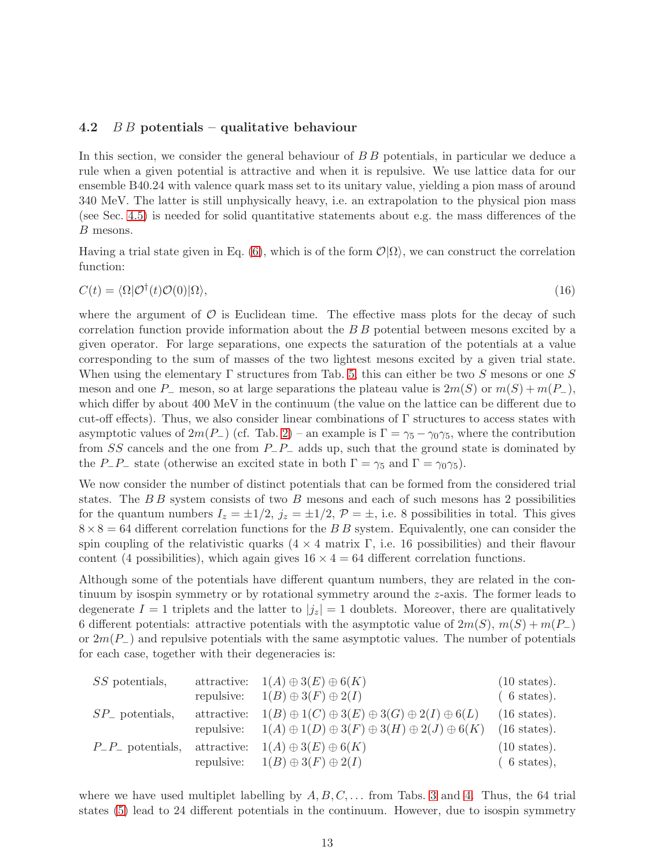## 4.2  $\overline{B} \overline{B}$  potentials – qualitative behaviour

In this section, we consider the general behaviour of  $B\,B$  potentials, in particular we deduce a rule when a given potential is attractive and when it is repulsive. We use lattice data for our ensemble B40.24 with valence quark mass set to its unitary value, yielding a pion mass of around 340 MeV. The latter is still unphysically heavy, i.e. an extrapolation to the physical pion mass (see Sec. [4.5\)](#page-19-0) is needed for solid quantitative statements about e.g. the mass differences of the B mesons.

Having a trial state given in Eq. [\(6\)](#page-6-0), which is of the form  $\mathcal{O}(\Omega)$ , we can construct the correlation function:

$$
C(t) = \langle \Omega | \mathcal{O}^\dagger(t) \mathcal{O}(0) | \Omega \rangle,\tag{16}
$$

where the argument of  $\mathcal O$  is Euclidean time. The effective mass plots for the decay of such correlation function provide information about the B B potential between mesons excited by a given operator. For large separations, one expects the saturation of the potentials at a value corresponding to the sum of masses of the two lightest mesons excited by a given trial state. When using the elementary  $\Gamma$  structures from Tab. [5,](#page-11-1) this can either be two S mesons or one S meson and one P<sub>−</sub> meson, so at large separations the plateau value is  $2m(S)$  or  $m(S) + m(P_-\)$ , which differ by about 400 MeV in the continuum (the value on the lattice can be different due to cut-off effects). Thus, we also consider linear combinations of Γ structures to access states with asymptotic values of  $2m(P_{-})$  (cf. Tab. [2\)](#page-7-0) – an example is  $\Gamma = \gamma_5 - \gamma_0 \gamma_5$ , where the contribution from SS cancels and the one from P−P<sup>−</sup> adds up, such that the ground state is dominated by the P<sub>−</sub>P<sub>−</sub> state (otherwise an excited state in both  $\Gamma = \gamma_5$  and  $\Gamma = \gamma_0 \gamma_5$ ).

We now consider the number of distinct potentials that can be formed from the considered trial states. The  $BB$  system consists of two  $B$  mesons and each of such mesons has 2 possibilities for the quantum numbers  $I_z = \pm 1/2$ ,  $j_z = \pm 1/2$ ,  $\mathcal{P} = \pm$ , i.e. 8 possibilities in total. This gives  $8\times8=64$  different correlation functions for the B B system. Equivalently, one can consider the spin coupling of the relativistic quarks  $(4 \times 4 \text{ matrix } \Gamma, \text{ i.e. } 16 \text{ possibilities})$  and their flavour content (4 possibilities), which again gives  $16 \times 4 = 64$  different correlation functions.

Although some of the potentials have different quantum numbers, they are related in the continuum by isospin symmetry or by rotational symmetry around the z-axis. The former leads to degenerate  $I = 1$  triplets and the latter to  $|j_z| = 1$  doublets. Moreover, there are qualitatively 6 different potentials: attractive potentials with the asymptotic value of  $2m(S), m(S) + m(P_+)$ or  $2m(P_{-})$  and repulsive potentials with the same asymptotic values. The number of potentials for each case, together with their degeneracies is:

| SS potentials,           | attractive: $1(A) \oplus 3(E) \oplus 6(K)$                                     | $(10 \text{ states}).$ |
|--------------------------|--------------------------------------------------------------------------------|------------------------|
|                          | repulsive: $1(B) \oplus 3(F) \oplus 2(I)$                                      | $(6 \text{ states}).$  |
| $SP_{-}$ potentials,     | attractive: $1(B) \oplus 1(C) \oplus 3(E) \oplus 3(G) \oplus 2(I) \oplus 6(L)$ | $(16 \text{ states}).$ |
|                          | repulsive: $1(A) \oplus 1(D) \oplus 3(F) \oplus 3(H) \oplus 2(J) \oplus 6(K)$  | $(16 \text{ states}).$ |
| $P_{-}P_{-}$ potentials, | attractive: $1(A) \oplus 3(E) \oplus 6(K)$                                     | $(10 \text{ states}).$ |
|                          | repulsive: $1(B) \oplus 3(F) \oplus 2(I)$                                      | $(6 \text{ states}),$  |

where we have used multiplet labelling by  $A, B, C, \ldots$  from Tabs. [3](#page-9-0) and [4.](#page-10-0) Thus, the 64 trial states [\(5\)](#page-6-1) lead to 24 different potentials in the continuum. However, due to isospin symmetry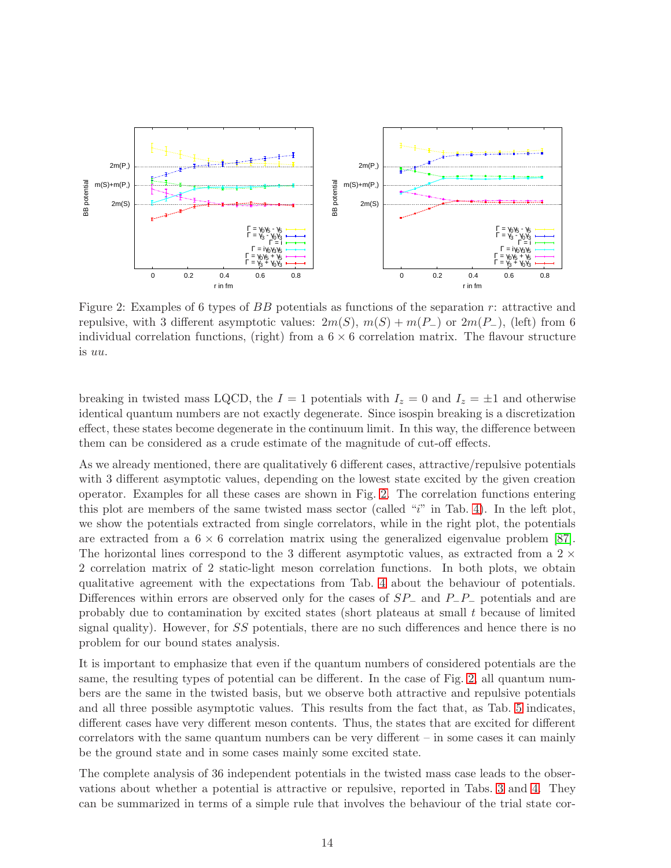

<span id="page-13-0"></span>Figure 2: Examples of 6 types of BB potentials as functions of the separation r: attractive and repulsive, with 3 different asymptotic values:  $2m(S), m(S) + m(P_{-})$  or  $2m(P_{-})$ , (left) from 6 individual correlation functions, (right) from a  $6 \times 6$  correlation matrix. The flavour structure is uu.

breaking in twisted mass LQCD, the  $I = 1$  potentials with  $I_z = 0$  and  $I_z = \pm 1$  and otherwise identical quantum numbers are not exactly degenerate. Since isospin breaking is a discretization effect, these states become degenerate in the continuum limit. In this way, the difference between them can be considered as a crude estimate of the magnitude of cut-off effects.

As we already mentioned, there are qualitatively 6 different cases, attractive/repulsive potentials with 3 different asymptotic values, depending on the lowest state excited by the given creation operator. Examples for all these cases are shown in Fig. [2.](#page-13-0) The correlation functions entering this plot are members of the same twisted mass sector (called " $i$ " in Tab. [4\)](#page-10-0). In the left plot, we show the potentials extracted from single correlators, while in the right plot, the potentials are extracted from a  $6 \times 6$  correlation matrix using the generalized eigenvalue problem [\[87\]](#page-27-19). The horizontal lines correspond to the 3 different asymptotic values, as extracted from a  $2 \times$ 2 correlation matrix of 2 static-light meson correlation functions. In both plots, we obtain qualitative agreement with the expectations from Tab. [4](#page-10-0) about the behaviour of potentials. Differences within errors are observed only for the cases of  $SP_$  and  $P_$ − $P_$  potentials and are probably due to contamination by excited states (short plateaus at small t because of limited signal quality). However, for SS potentials, there are no such differences and hence there is no problem for our bound states analysis.

It is important to emphasize that even if the quantum numbers of considered potentials are the same, the resulting types of potential can be different. In the case of Fig. [2,](#page-13-0) all quantum numbers are the same in the twisted basis, but we observe both attractive and repulsive potentials and all three possible asymptotic values. This results from the fact that, as Tab. [5](#page-11-1) indicates, different cases have very different meson contents. Thus, the states that are excited for different correlators with the same quantum numbers can be very different – in some cases it can mainly be the ground state and in some cases mainly some excited state.

The complete analysis of 36 independent potentials in the twisted mass case leads to the observations about whether a potential is attractive or repulsive, reported in Tabs. [3](#page-9-0) and [4.](#page-10-0) They can be summarized in terms of a simple rule that involves the behaviour of the trial state cor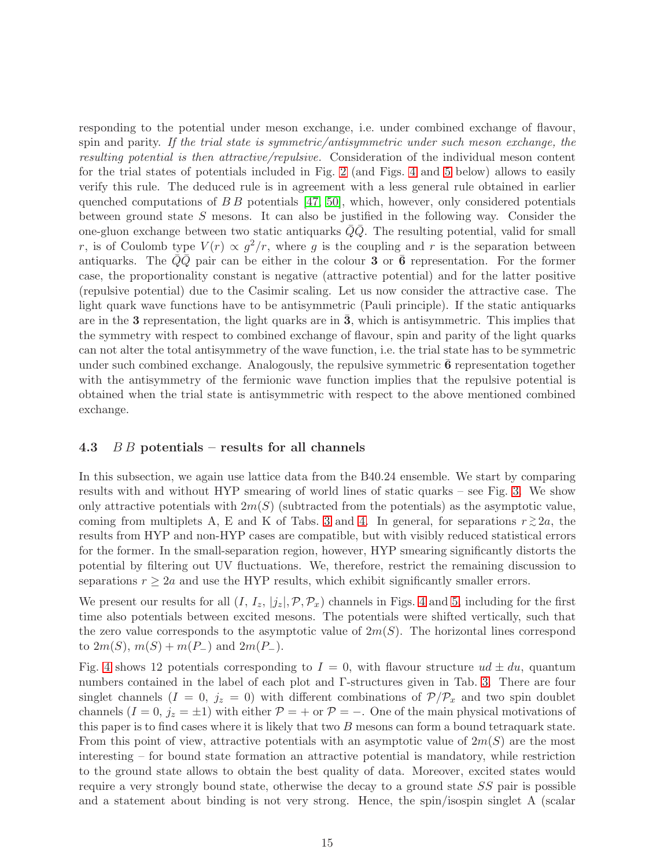responding to the potential under meson exchange, i.e. under combined exchange of flavour, spin and parity. If the trial state is symmetric/antisymmetric under such meson exchange, the resulting potential is then attractive/repulsive. Consideration of the individual meson content for the trial states of potentials included in Fig. [2](#page-13-0) (and Figs. [4](#page-16-0) and [5](#page-17-0) below) allows to easily verify this rule. The deduced rule is in agreement with a less general rule obtained in earlier quenched computations of  $B B$  potentials [\[47,](#page-26-0) [50\]](#page-26-3), which, however, only considered potentials between ground state S mesons. It can also be justified in the following way. Consider the one-gluon exchange between two static antiquarks  $QQ$ . The resulting potential, valid for small r, is of Coulomb type  $V(r) \propto g^2/r$ , where g is the coupling and r is the separation between antiquarks. The  $\overline{Q}\overline{Q}$  pair can be either in the colour 3 or  $\overline{6}$  representation. For the former case, the proportionality constant is negative (attractive potential) and for the latter positive (repulsive potential) due to the Casimir scaling. Let us now consider the attractive case. The light quark wave functions have to be antisymmetric (Pauli principle). If the static antiquarks are in the  $3$  representation, the light quarks are in  $3$ , which is antisymmetric. This implies that the symmetry with respect to combined exchange of flavour, spin and parity of the light quarks can not alter the total antisymmetry of the wave function, i.e. the trial state has to be symmetric under such combined exchange. Analogously, the repulsive symmetric  $6$  representation together with the antisymmetry of the fermionic wave function implies that the repulsive potential is obtained when the trial state is antisymmetric with respect to the above mentioned combined exchange.

## <span id="page-14-0"></span>4.3  $\overline{B} \overline{B}$  potentials – results for all channels

In this subsection, we again use lattice data from the B40.24 ensemble. We start by comparing results with and without HYP smearing of world lines of static quarks – see Fig. [3.](#page-15-0) We show only attractive potentials with  $2m(S)$  (subtracted from the potentials) as the asymptotic value, coming from multiplets A, E and K of Tabs. [3](#page-9-0) and [4.](#page-10-0) In general, for separations  $r \gtrsim 2a$ , the results from HYP and non-HYP cases are compatible, but with visibly reduced statistical errors for the former. In the small-separation region, however, HYP smearing significantly distorts the potential by filtering out UV fluctuations. We, therefore, restrict the remaining discussion to separations  $r \geq 2a$  and use the HYP results, which exhibit significantly smaller errors.

We present our results for all  $(I, I_z, |j_z|, \mathcal{P}, \mathcal{P}_x)$  channels in Figs. [4](#page-16-0) and [5,](#page-17-0) including for the first time also potentials between excited mesons. The potentials were shifted vertically, such that the zero value corresponds to the asymptotic value of  $2m(S)$ . The horizontal lines correspond to  $2m(S)$ ,  $m(S) + m(P_{-})$  and  $2m(P_{-})$ .

Fig. [4](#page-16-0) shows 12 potentials corresponding to  $I = 0$ , with flavour structure  $ud \pm du$ , quantum numbers contained in the label of each plot and Γ-structures given in Tab. [3.](#page-9-0) There are four singlet channels  $(I = 0, j_z = 0)$  with different combinations of  $\mathcal{P}/\mathcal{P}_x$  and two spin doublet channels  $(I = 0, j_z = \pm 1)$  with either  $P = +$  or  $P = -$ . One of the main physical motivations of this paper is to find cases where it is likely that two B mesons can form a bound tetraquark state. From this point of view, attractive potentials with an asymptotic value of  $2m(S)$  are the most interesting – for bound state formation an attractive potential is mandatory, while restriction to the ground state allows to obtain the best quality of data. Moreover, excited states would require a very strongly bound state, otherwise the decay to a ground state  $SS$  pair is possible and a statement about binding is not very strong. Hence, the spin/isospin singlet A (scalar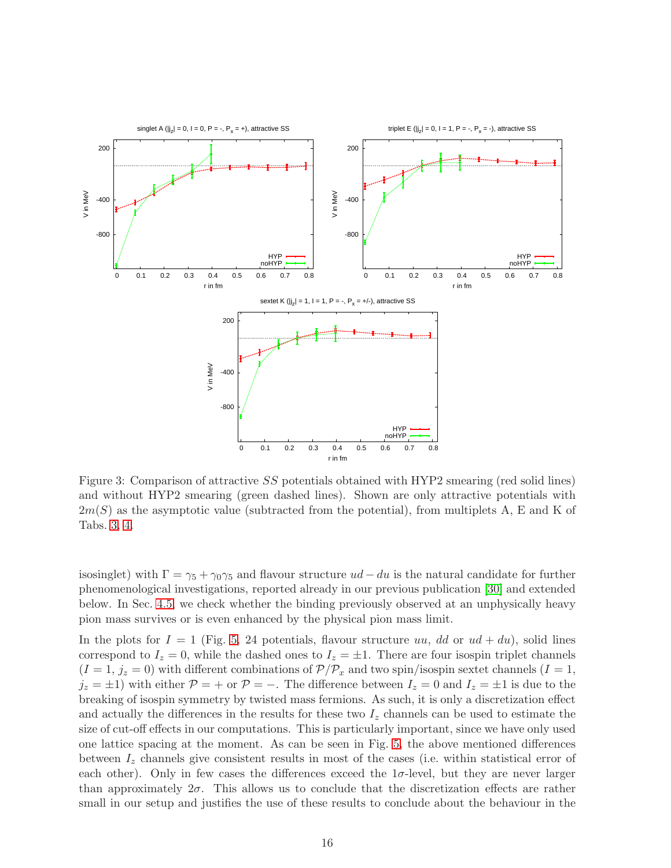

<span id="page-15-0"></span>Figure 3: Comparison of attractive SS potentials obtained with HYP2 smearing (red solid lines) and without HYP2 smearing (green dashed lines). Shown are only attractive potentials with  $2m(S)$  as the asymptotic value (subtracted from the potential), from multiplets A, E and K of Tabs. [3,](#page-9-0) [4.](#page-10-0)

isosinglet) with  $\Gamma = \gamma_5 + \gamma_0 \gamma_5$  and flavour structure  $ud - du$  is the natural candidate for further phenomenological investigations, reported already in our previous publication [\[30\]](#page-25-7) and extended below. In Sec. [4.5,](#page-19-0) we check whether the binding previously observed at an unphysically heavy pion mass survives or is even enhanced by the physical pion mass limit.

In the plots for  $I = 1$  (Fig. [5,](#page-17-0) 24 potentials, flavour structure uu, dd or  $ud + du$ ), solid lines correspond to  $I_z = 0$ , while the dashed ones to  $I_z = \pm 1$ . There are four isospin triplet channels  $(I = 1, j_z = 0)$  with different combinations of  $\mathcal{P}/\mathcal{P}_x$  and two spin/isospin sextet channels  $(I = 1, j_z = 0)$  $j_z = \pm 1$ ) with either  $P = +$  or  $P = -$ . The difference between  $I_z = 0$  and  $I_z = \pm 1$  is due to the breaking of isospin symmetry by twisted mass fermions. As such, it is only a discretization effect and actually the differences in the results for these two  $I_z$  channels can be used to estimate the size of cut-off effects in our computations. This is particularly important, since we have only used one lattice spacing at the moment. As can be seen in Fig. [5,](#page-17-0) the above mentioned differences between  $I_z$  channels give consistent results in most of the cases (i.e. within statistical error of each other). Only in few cases the differences exceed the  $1\sigma$ -level, but they are never larger than approximately  $2\sigma$ . This allows us to conclude that the discretization effects are rather small in our setup and justifies the use of these results to conclude about the behaviour in the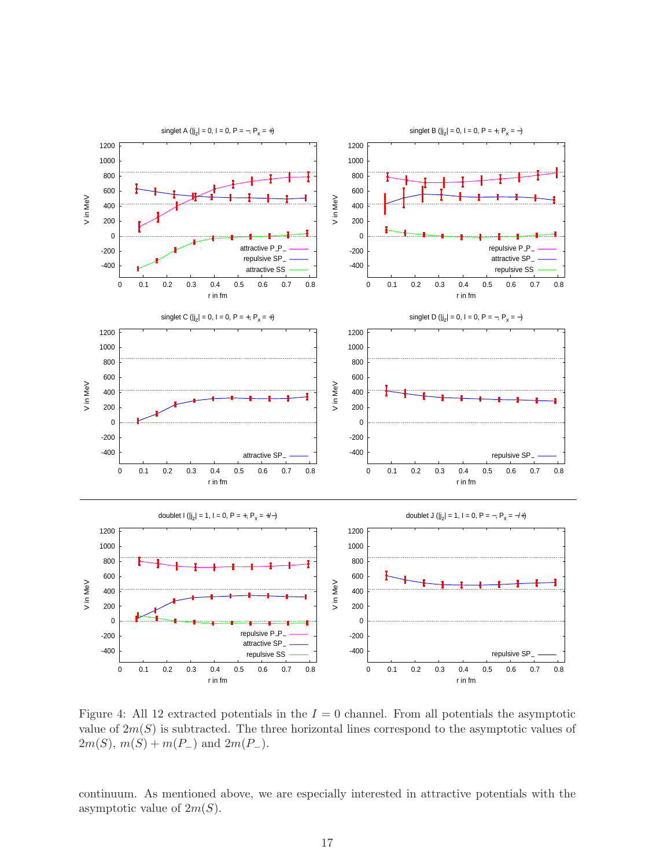

<span id="page-16-0"></span>Figure 4: All 12 extracted potentials in the  $I = 0$  channel. From all potentials the asymptotic value of  $2m(S)$  is subtracted. The three horizontal lines correspond to the asymptotic values of  $2m(S), m(S) + m(P_{-})$  and  $2m(P_{-})$ .

continuum. As mentioned above, we are especially interested in attractive potentials with the asymptotic value of  $2m(S)$ .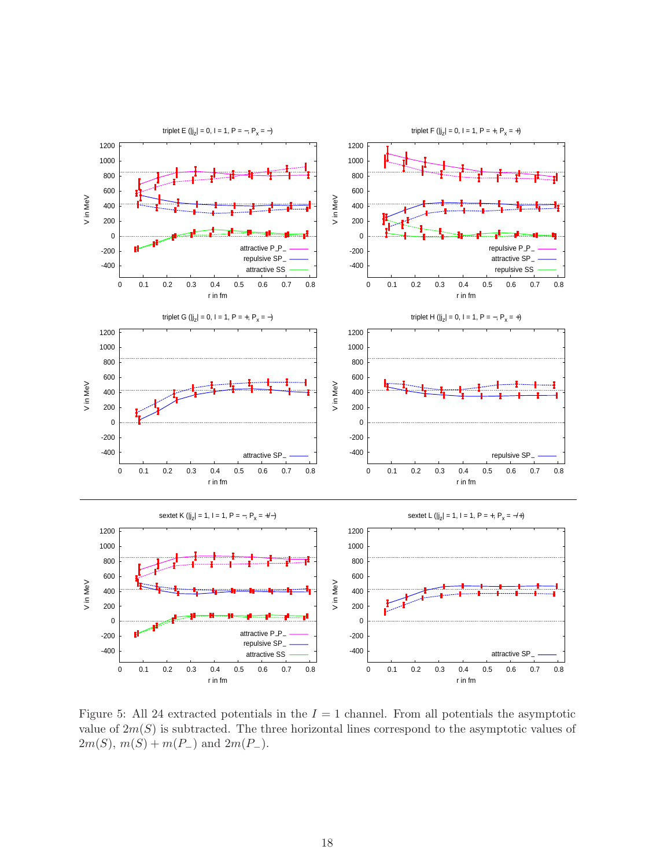

<span id="page-17-0"></span>Figure 5: All 24 extracted potentials in the  $I = 1$  channel. From all potentials the asymptotic value of  $2m(S)$  is subtracted. The three horizontal lines correspond to the asymptotic values of  $2m(S), m(S) + m(P_{-})$  and  $2m(P_{-})$ .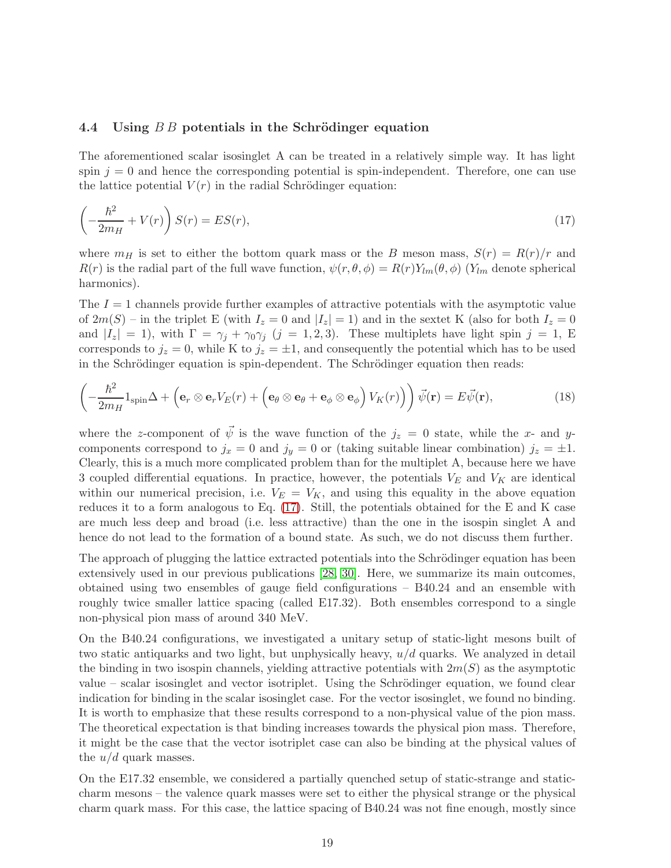#### 4.4 Using  $B B$  potentials in the Schrödinger equation

The aforementioned scalar isosinglet A can be treated in a relatively simple way. It has light spin  $j = 0$  and hence the corresponding potential is spin-independent. Therefore, one can use the lattice potential  $V(r)$  in the radial Schrödinger equation:

<span id="page-18-0"></span>
$$
\left(-\frac{\hbar^2}{2m_H} + V(r)\right)S(r) = ES(r),\tag{17}
$$

where  $m_H$  is set to either the bottom quark mass or the B meson mass,  $S(r) = R(r)/r$  and  $R(r)$  is the radial part of the full wave function,  $\psi(r, \theta, \phi) = R(r)Y_{lm}(\theta, \phi)$  (Y<sub>lm</sub> denote spherical harmonics).

The  $I = 1$  channels provide further examples of attractive potentials with the asymptotic value of  $2m(S)$  – in the triplet E (with  $I_z = 0$  and  $|I_z| = 1$ ) and in the sextet K (also for both  $I_z = 0$ and  $|I_z| = 1$ , with  $\Gamma = \gamma_j + \gamma_0 \gamma_j$   $(j = 1, 2, 3)$ . These multiplets have light spin  $j = 1$ , E corresponds to  $j_z = 0$ , while K to  $j_z = \pm 1$ , and consequently the potential which has to be used in the Schrödinger equation is spin-dependent. The Schrödinger equation then reads:

$$
\left(-\frac{\hbar^2}{2m_H}\mathbb{1}_{\text{spin}}\Delta + \left(\mathbf{e}_r \otimes \mathbf{e}_r V_E(r) + \left(\mathbf{e}_\theta \otimes \mathbf{e}_\theta + \mathbf{e}_\phi \otimes \mathbf{e}_\phi\right) V_K(r)\right)\right)\vec{\psi}(\mathbf{r}) = E\vec{\psi}(\mathbf{r}),\tag{18}
$$

where the z-component of  $\vec{\psi}$  is the wave function of the  $j_z = 0$  state, while the x- and ycomponents correspond to  $j_x = 0$  and  $j_y = 0$  or (taking suitable linear combination)  $j_z = \pm 1$ . Clearly, this is a much more complicated problem than for the multiplet A, because here we have 3 coupled differential equations. In practice, however, the potentials  $V_E$  and  $V_K$  are identical within our numerical precision, i.e.  $V_E = V_K$ , and using this equality in the above equation reduces it to a form analogous to Eq. [\(17\)](#page-18-0). Still, the potentials obtained for the E and K case are much less deep and broad (i.e. less attractive) than the one in the isospin singlet A and hence do not lead to the formation of a bound state. As such, we do not discuss them further.

The approach of plugging the lattice extracted potentials into the Schrödinger equation has been extensively used in our previous publications [\[28,](#page-25-5) [30\]](#page-25-7). Here, we summarize its main outcomes, obtained using two ensembles of gauge field configurations – B40.24 and an ensemble with roughly twice smaller lattice spacing (called E17.32). Both ensembles correspond to a single non-physical pion mass of around 340 MeV.

On the B40.24 configurations, we investigated a unitary setup of static-light mesons built of two static antiquarks and two light, but unphysically heavy,  $u/d$  quarks. We analyzed in detail the binding in two isospin channels, yielding attractive potentials with  $2m(S)$  as the asymptotic value – scalar isosinglet and vector isotriplet. Using the Schrödinger equation, we found clear indication for binding in the scalar isosinglet case. For the vector isosinglet, we found no binding. It is worth to emphasize that these results correspond to a non-physical value of the pion mass. The theoretical expectation is that binding increases towards the physical pion mass. Therefore, it might be the case that the vector isotriplet case can also be binding at the physical values of the  $u/d$  quark masses.

On the E17.32 ensemble, we considered a partially quenched setup of static-strange and staticcharm mesons – the valence quark masses were set to either the physical strange or the physical charm quark mass. For this case, the lattice spacing of B40.24 was not fine enough, mostly since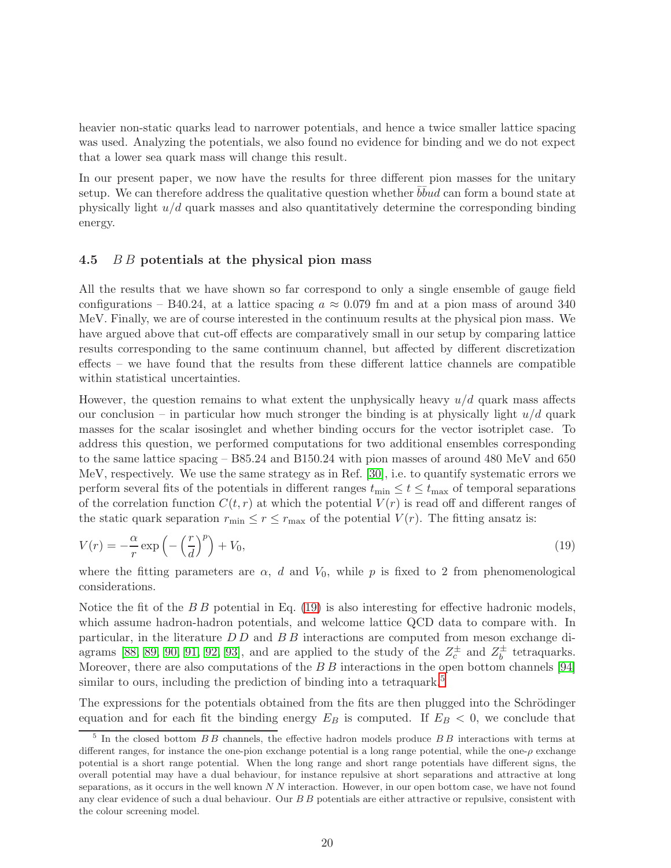heavier non-static quarks lead to narrower potentials, and hence a twice smaller lattice spacing was used. Analyzing the potentials, we also found no evidence for binding and we do not expect that a lower sea quark mass will change this result.

In our present paper, we now have the results for three different pion masses for the unitary setup. We can therefore address the qualitative question whether  $b\bar{b}u d$  can form a bound state at physically light  $u/d$  quark masses and also quantitatively determine the corresponding binding energy.

## <span id="page-19-0"></span>4.5 B B potentials at the physical pion mass

All the results that we have shown so far correspond to only a single ensemble of gauge field configurations – B40.24, at a lattice spacing  $a \approx 0.079$  fm and at a pion mass of around 340 MeV. Finally, we are of course interested in the continuum results at the physical pion mass. We have argued above that cut-off effects are comparatively small in our setup by comparing lattice results corresponding to the same continuum channel, but affected by different discretization effects – we have found that the results from these different lattice channels are compatible within statistical uncertainties.

However, the question remains to what extent the unphysically heavy  $u/d$  quark mass affects our conclusion – in particular how much stronger the binding is at physically light  $u/d$  quark masses for the scalar isosinglet and whether binding occurs for the vector isotriplet case. To address this question, we performed computations for two additional ensembles corresponding to the same lattice spacing – B85.24 and B150.24 with pion masses of around 480 MeV and 650 MeV, respectively. We use the same strategy as in Ref. [\[30\]](#page-25-7), i.e. to quantify systematic errors we perform several fits of the potentials in different ranges  $t_{\min} \le t \le t_{\max}$  of temporal separations of the correlation function  $C(t, r)$  at which the potential  $V(r)$  is read off and different ranges of the static quark separation  $r_{\min} \leq r \leq r_{\max}$  of the potential  $V(r)$ . The fitting ansatz is:

<span id="page-19-1"></span>
$$
V(r) = -\frac{\alpha}{r} \exp\left(-\left(\frac{r}{d}\right)^p\right) + V_0,\tag{19}
$$

where the fitting parameters are  $\alpha$ , d and  $V_0$ , while p is fixed to 2 from phenomenological considerations.

Notice the fit of the  $B B$  potential in Eq. [\(19\)](#page-19-1) is also interesting for effective hadronic models, which assume hadron-hadron potentials, and welcome lattice QCD data to compare with. In particular, in the literature D D and B B interactions are computed from meson exchange di-agrams [\[88,](#page-27-20) [89,](#page-28-0) [90,](#page-28-1) [91,](#page-28-2) [92,](#page-28-3) [93\]](#page-28-4), and are applied to the study of the  $Z_c^{\pm}$  and  $Z_b^{\pm}$  $\bar{b}$  tetraquarks. Moreover, there are also computations of the  $B\,B$  interactions in the open bottom channels [\[94\]](#page-28-5) similar to ours, including the prediction of binding into a tetraquark.<sup>[5](#page-19-2)</sup>

The expressions for the potentials obtained from the fits are then plugged into the Schrödinger equation and for each fit the binding energy  $E_B$  is computed. If  $E_B < 0$ , we conclude that

<span id="page-19-2"></span><sup>&</sup>lt;sup>5</sup> In the closed bottom  $BB$  channels, the effective hadron models produce  $BB$  interactions with terms at different ranges, for instance the one-pion exchange potential is a long range potential, while the one-ρ exchange potential is a short range potential. When the long range and short range potentials have different signs, the overall potential may have a dual behaviour, for instance repulsive at short separations and attractive at long separations, as it occurs in the well known  $NN$  interaction. However, in our open bottom case, we have not found any clear evidence of such a dual behaviour. Our B B potentials are either attractive or repulsive, consistent with the colour screening model.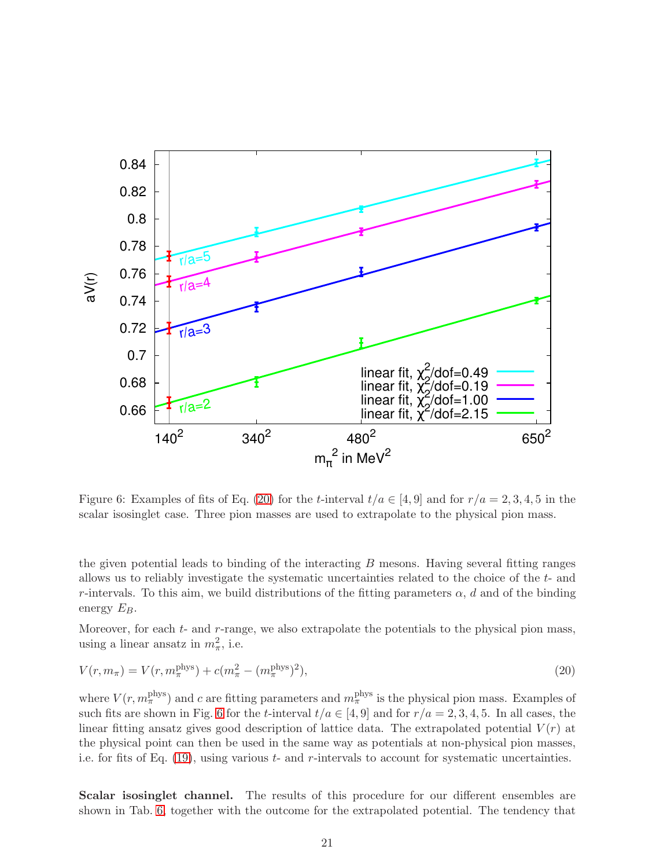

<span id="page-20-1"></span>Figure 6: Examples of fits of Eq. [\(20\)](#page-20-0) for the t-interval  $t/a \in [4, 9]$  and for  $r/a = 2, 3, 4, 5$  in the scalar isosinglet case. Three pion masses are used to extrapolate to the physical pion mass.

the given potential leads to binding of the interacting  $B$  mesons. Having several fitting ranges allows us to reliably investigate the systematic uncertainties related to the choice of the t- and r-intervals. To this aim, we build distributions of the fitting parameters  $\alpha$ , d and of the binding energy  $E_B$ .

<span id="page-20-0"></span>Moreover, for each  $t$ - and  $r$ -range, we also extrapolate the potentials to the physical pion mass, using a linear ansatz in  $m_{\pi}^2$ , i.e.

$$
V(r, m_{\pi}) = V(r, m_{\pi}^{\text{phys}}) + c(m_{\pi}^2 - (m_{\pi}^{\text{phys}})^2),
$$
\n(20)

where  $V(r, m_\pi^{\text{phys}})$  and c are fitting parameters and  $m_\pi^{\text{phys}}$  is the physical pion mass. Examples of such fits are shown in Fig. [6](#page-20-1) for the t-interval  $t/a \in [4, 9]$  and for  $r/a = 2, 3, 4, 5$ . In all cases, the linear fitting ansatz gives good description of lattice data. The extrapolated potential  $V(r)$  at the physical point can then be used in the same way as potentials at non-physical pion masses, i.e. for fits of Eq.  $(19)$ , using various t- and r-intervals to account for systematic uncertainties.

Scalar isosinglet channel. The results of this procedure for our different ensembles are shown in Tab. [6,](#page-21-0) together with the outcome for the extrapolated potential. The tendency that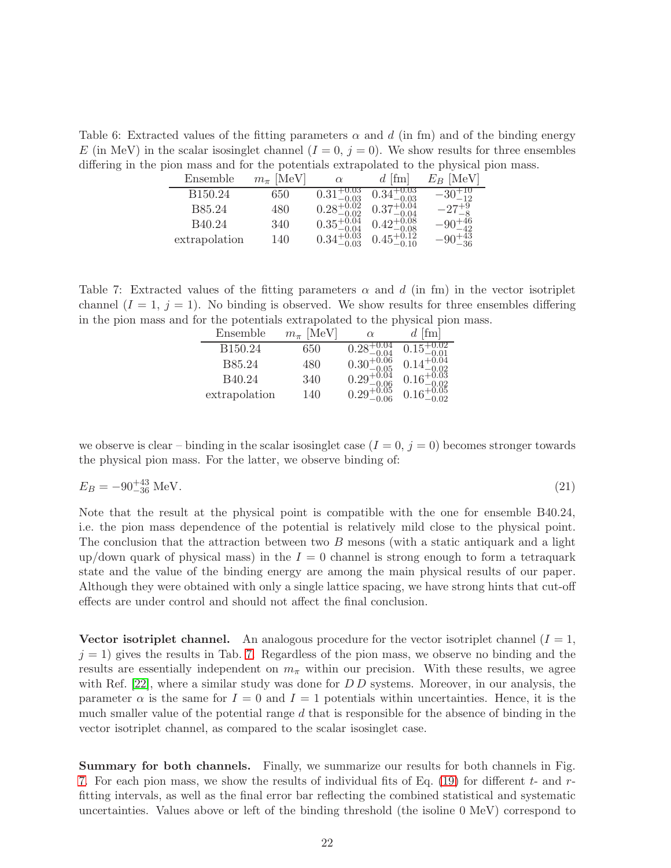<span id="page-21-0"></span>Table 6: Extracted values of the fitting parameters  $\alpha$  and d (in fm) and of the binding energy E (in MeV) in the scalar isosinglet channel  $(I = 0, j = 0)$ . We show results for three ensembles differing in the pion mass and for the potentials extrapolated to the physical pion mass.

| Ensemble            | $m_{\pi}$ [MeV] | $\alpha$                                          | $d$ [fm]               | [MeV]<br>$E_B$ |
|---------------------|-----------------|---------------------------------------------------|------------------------|----------------|
| B <sub>150.24</sub> | 650             | $0.31^{+0.03}_{-0.03}$<br>0.28 <sup>+0.02</sup>   |                        |                |
| B85.24              | 480             |                                                   | $0.37^{+0.04}_{-0.04}$ |                |
| B40.24              | 340             |                                                   | $0.42^{+0.08}_{-0.02}$ | -90            |
| extrapolation       | 140             | $0.35^{+0.04}_{-0.04}$<br>0.34 $^{+0.03}_{-0.03}$ |                        |                |

<span id="page-21-1"></span>Table 7: Extracted values of the fitting parameters  $\alpha$  and  $d$  (in fm) in the vector isotriplet channel  $(I = 1, j = 1)$ . No binding is observed. We show results for three ensembles differing in the pion mass and for the potentials extrapolated to the physical pion mass.

| Ensemble      | [MeV]<br>$m_{\pi}$ | $\alpha$                                        | $d$ [fm]               |
|---------------|--------------------|-------------------------------------------------|------------------------|
| B150.24       | 650                |                                                 |                        |
| <b>B85.24</b> | 480                | $0.30^{+0.06}_{-0.05}$<br>0.29 <sup>+0.04</sup> |                        |
| B40.24        | 340                |                                                 |                        |
| extrapolation | 140                | $0.29^{+0.05}_{-0.06}$                          | $0.16_{-0.02}^{+0.05}$ |

we observe is clear – binding in the scalar isosinglet case  $(I = 0, j = 0)$  becomes stronger towards the physical pion mass. For the latter, we observe binding of:

$$
E_B = -90^{+43}_{-36} \text{ MeV}. \tag{21}
$$

Note that the result at the physical point is compatible with the one for ensemble B40.24, i.e. the pion mass dependence of the potential is relatively mild close to the physical point. The conclusion that the attraction between two B mesons (with a static antiquark and a light up/down quark of physical mass) in the  $I = 0$  channel is strong enough to form a tetraquark state and the value of the binding energy are among the main physical results of our paper. Although they were obtained with only a single lattice spacing, we have strong hints that cut-off effects are under control and should not affect the final conclusion.

Vector isotriplet channel. An analogous procedure for the vector isotriplet channel  $(I = 1,$  $j = 1$ ) gives the results in Tab. [7.](#page-21-1) Regardless of the pion mass, we observe no binding and the results are essentially independent on  $m_{\pi}$  within our precision. With these results, we agree with Ref.  $[22]$ , where a similar study was done for D D systems. Moreover, in our analysis, the parameter  $\alpha$  is the same for  $I = 0$  and  $I = 1$  potentials within uncertainties. Hence, it is the much smaller value of the potential range  $d$  that is responsible for the absence of binding in the vector isotriplet channel, as compared to the scalar isosinglet case.

Summary for both channels. Finally, we summarize our results for both channels in Fig. [7.](#page-22-1) For each pion mass, we show the results of individual fits of Eq.  $(19)$  for different t- and rfitting intervals, as well as the final error bar reflecting the combined statistical and systematic uncertainties. Values above or left of the binding threshold (the isoline 0 MeV) correspond to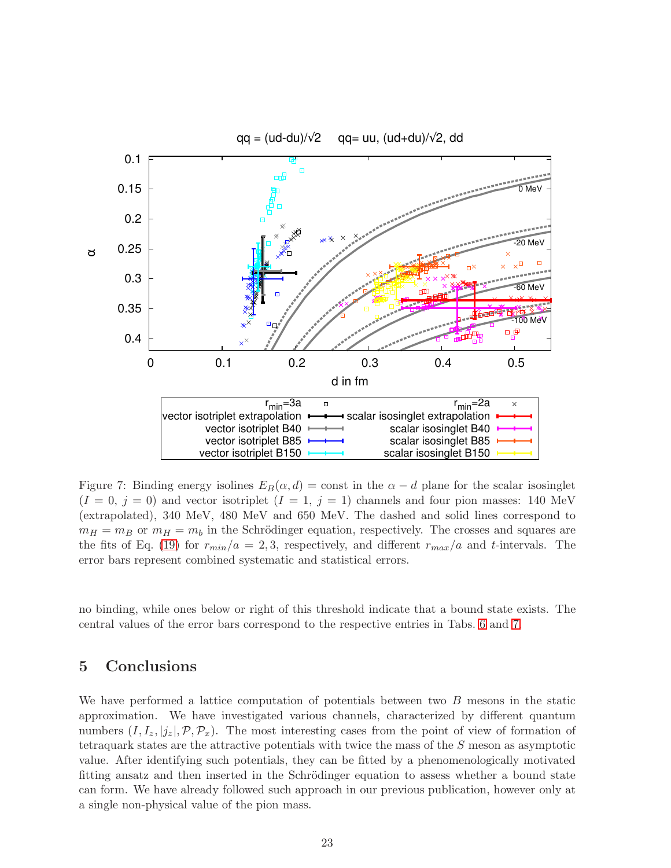

<span id="page-22-1"></span>Figure 7: Binding energy isolines  $E_B(\alpha, d) = \text{const}$  in the  $\alpha - d$  plane for the scalar isosinglet  $(I = 0, j = 0)$  and vector isotriplet  $(I = 1, j = 1)$  channels and four pion masses: 140 MeV (extrapolated), 340 MeV, 480 MeV and 650 MeV. The dashed and solid lines correspond to  $m_H = m_B$  or  $m_H = m_b$  in the Schrödinger equation, respectively. The crosses and squares are the fits of Eq. [\(19\)](#page-19-1) for  $r_{min}/a = 2,3$ , respectively, and different  $r_{max}/a$  and t-intervals. The error bars represent combined systematic and statistical errors.

no binding, while ones below or right of this threshold indicate that a bound state exists. The central values of the error bars correspond to the respective entries in Tabs. [6](#page-21-0) and [7.](#page-21-1)

## <span id="page-22-0"></span>5 Conclusions

We have performed a lattice computation of potentials between two B mesons in the static approximation. We have investigated various channels, characterized by different quantum numbers  $(I, I_z, |j_z|, \mathcal{P}, \mathcal{P}_x)$ . The most interesting cases from the point of view of formation of tetraquark states are the attractive potentials with twice the mass of the S meson as asymptotic value. After identifying such potentials, they can be fitted by a phenomenologically motivated fitting ansatz and then inserted in the Schrödinger equation to assess whether a bound state can form. We have already followed such approach in our previous publication, however only at a single non-physical value of the pion mass.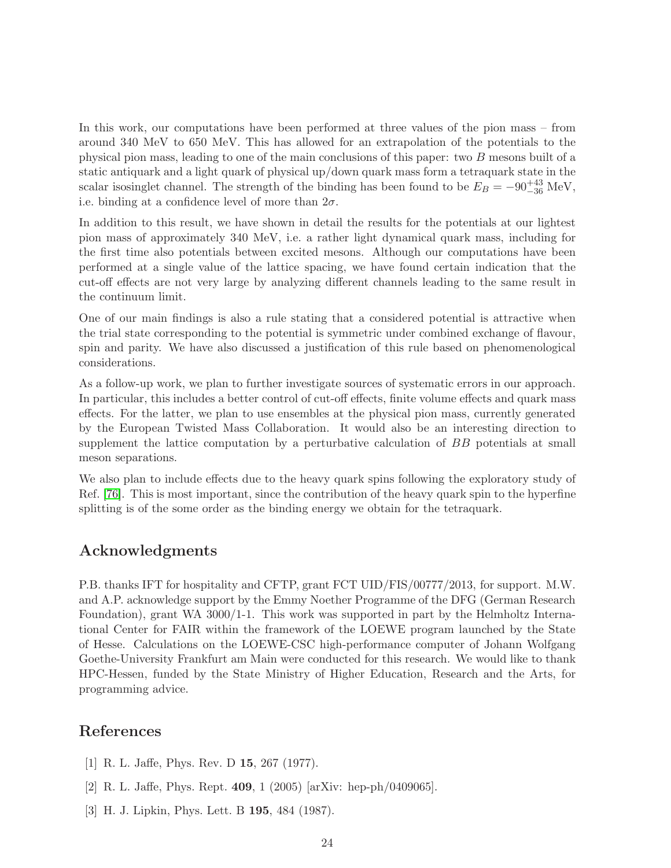In this work, our computations have been performed at three values of the pion mass – from around 340 MeV to 650 MeV. This has allowed for an extrapolation of the potentials to the physical pion mass, leading to one of the main conclusions of this paper: two B mesons built of a static antiquark and a light quark of physical up/down quark mass form a tetraquark state in the scalar isosinglet channel. The strength of the binding has been found to be  $E_B = -90^{+43}_{-36}$  MeV, i.e. binding at a confidence level of more than  $2\sigma$ .

In addition to this result, we have shown in detail the results for the potentials at our lightest pion mass of approximately 340 MeV, i.e. a rather light dynamical quark mass, including for the first time also potentials between excited mesons. Although our computations have been performed at a single value of the lattice spacing, we have found certain indication that the cut-off effects are not very large by analyzing different channels leading to the same result in the continuum limit.

One of our main findings is also a rule stating that a considered potential is attractive when the trial state corresponding to the potential is symmetric under combined exchange of flavour, spin and parity. We have also discussed a justification of this rule based on phenomenological considerations.

As a follow-up work, we plan to further investigate sources of systematic errors in our approach. In particular, this includes a better control of cut-off effects, finite volume effects and quark mass effects. For the latter, we plan to use ensembles at the physical pion mass, currently generated by the European Twisted Mass Collaboration. It would also be an interesting direction to supplement the lattice computation by a perturbative calculation of BB potentials at small meson separations.

We also plan to include effects due to the heavy quark spins following the exploratory study of Ref. [\[76\]](#page-27-8). This is most important, since the contribution of the heavy quark spin to the hyperfine splitting is of the some order as the binding energy we obtain for the tetraquark.

# Acknowledgments

P.B. thanks IFT for hospitality and CFTP, grant FCT UID/FIS/00777/2013, for support. M.W. and A.P. acknowledge support by the Emmy Noether Programme of the DFG (German Research Foundation), grant WA 3000/1-1. This work was supported in part by the Helmholtz International Center for FAIR within the framework of the LOEWE program launched by the State of Hesse. Calculations on the LOEWE-CSC high-performance computer of Johann Wolfgang Goethe-University Frankfurt am Main were conducted for this research. We would like to thank HPC-Hessen, funded by the State Ministry of Higher Education, Research and the Arts, for programming advice.

## <span id="page-23-0"></span>References

- <span id="page-23-1"></span>[1] R. L. Jaffe, Phys. Rev. D 15, 267 (1977).
- <span id="page-23-2"></span>[2] R. L. Jaffe, Phys. Rept. 409, 1 (2005) [arXiv: hep-ph/0409065].
- [3] H. J. Lipkin, Phys. Lett. B 195, 484 (1987).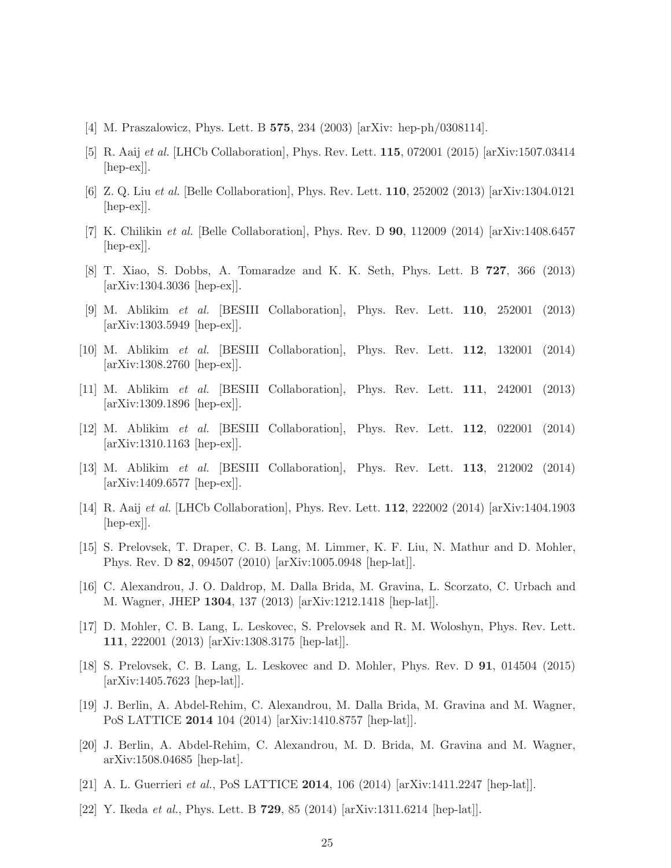- <span id="page-24-1"></span><span id="page-24-0"></span>[4] M. Praszalowicz, Phys. Lett. B 575, 234 (2003) [arXiv: hep-ph/0308114].
- <span id="page-24-2"></span>[5] R. Aaij et al. [LHCb Collaboration], Phys. Rev. Lett. 115, 072001 (2015) [arXiv:1507.03414 [hep-ex]].
- <span id="page-24-3"></span>[6] Z. Q. Liu et al. [Belle Collaboration], Phys. Rev. Lett. 110, 252002 (2013) [arXiv:1304.0121  $\vert \text{hep-ex} \vert$ .
- <span id="page-24-4"></span>[7] K. Chilikin et al. [Belle Collaboration], Phys. Rev. D 90, 112009 (2014) [arXiv:1408.6457 [hep-ex]].
- <span id="page-24-5"></span>[8] T. Xiao, S. Dobbs, A. Tomaradze and K. K. Seth, Phys. Lett. B 727, 366 (2013) [arXiv:1304.3036 [hep-ex]].
- [9] M. Ablikim et al. [BESIII Collaboration], Phys. Rev. Lett. 110, 252001 (2013) [arXiv:1303.5949 [hep-ex]].
- <span id="page-24-6"></span>[10] M. Ablikim et al. [BESIII Collaboration], Phys. Rev. Lett. 112, 132001 (2014) [arXiv:1308.2760 [hep-ex]].
- <span id="page-24-7"></span>[11] M. Ablikim et al. [BESIII Collaboration], Phys. Rev. Lett. 111, 242001 (2013) [arXiv:1309.1896 [hep-ex]].
- <span id="page-24-8"></span>[12] M. Ablikim et al. [BESIII Collaboration], Phys. Rev. Lett. 112, 022001 (2014) [arXiv:1310.1163 [hep-ex]].
- <span id="page-24-10"></span><span id="page-24-9"></span>[13] M. Ablikim et al. [BESIII Collaboration], Phys. Rev. Lett. 113, 212002 (2014) [arXiv:1409.6577 [hep-ex]].
- [14] R. Aaij et al. [LHCb Collaboration], Phys. Rev. Lett. 112, 222002 (2014) [arXiv:1404.1903 [hep-ex]].
- <span id="page-24-11"></span>[15] S. Prelovsek, T. Draper, C. B. Lang, M. Limmer, K. F. Liu, N. Mathur and D. Mohler, Phys. Rev. D 82, 094507 (2010) [arXiv:1005.0948 [hep-lat]].
- <span id="page-24-12"></span>[16] C. Alexandrou, J. O. Daldrop, M. Dalla Brida, M. Gravina, L. Scorzato, C. Urbach and M. Wagner, JHEP 1304, 137 (2013) [arXiv:1212.1418 [hep-lat]].
- <span id="page-24-13"></span>[17] D. Mohler, C. B. Lang, L. Leskovec, S. Prelovsek and R. M. Woloshyn, Phys. Rev. Lett. 111, 222001 (2013) [arXiv:1308.3175 [hep-lat]].
- <span id="page-24-14"></span>[18] S. Prelovsek, C. B. Lang, L. Leskovec and D. Mohler, Phys. Rev. D 91, 014504 (2015) [arXiv:1405.7623 [hep-lat]].
- <span id="page-24-15"></span>[19] J. Berlin, A. Abdel-Rehim, C. Alexandrou, M. Dalla Brida, M. Gravina and M. Wagner, PoS LATTICE 2014 104 (2014) [arXiv:1410.8757 [hep-lat]].
- <span id="page-24-16"></span>[20] J. Berlin, A. Abdel-Rehim, C. Alexandrou, M. D. Brida, M. Gravina and M. Wagner, arXiv:1508.04685 [hep-lat].
- <span id="page-24-18"></span><span id="page-24-17"></span>[21] A. L. Guerrieri *et al.*, PoS LATTICE **2014**, 106 (2014) [arXiv:1411.2247 [hep-lat]].
- [22] Y. Ikeda et al., Phys. Lett. B 729, 85 (2014) [arXiv:1311.6214 [hep-lat]].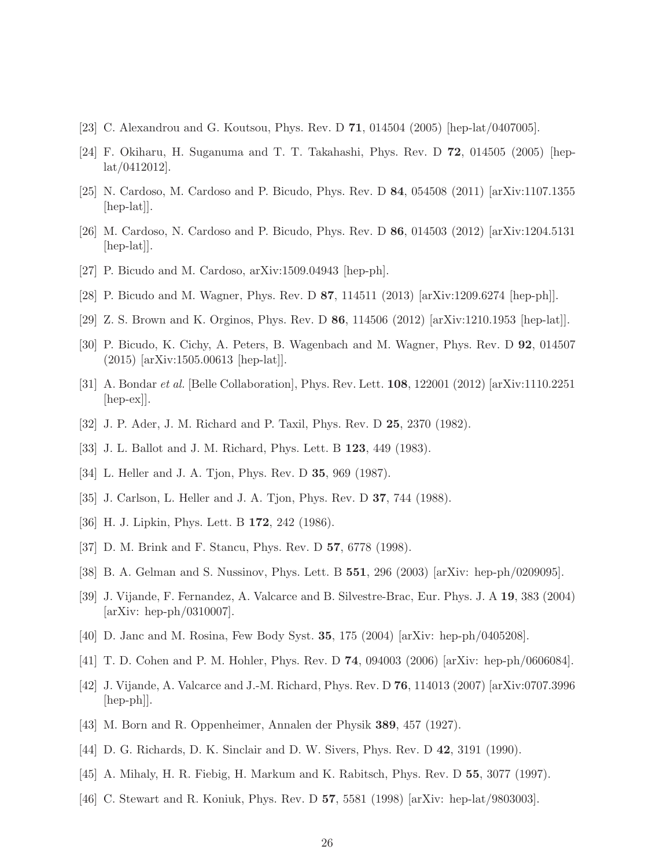- <span id="page-25-1"></span><span id="page-25-0"></span>[23] C. Alexandrou and G. Koutsou, Phys. Rev. D 71, 014504 (2005) [hep-lat/0407005].
- <span id="page-25-2"></span>[24] F. Okiharu, H. Suganuma and T. T. Takahashi, Phys. Rev. D 72, 014505 (2005) [heplat/0412012].
- <span id="page-25-3"></span>[25] N. Cardoso, M. Cardoso and P. Bicudo, Phys. Rev. D 84, 054508 (2011) [arXiv:1107.1355 [hep-lat].
- <span id="page-25-4"></span>[26] M. Cardoso, N. Cardoso and P. Bicudo, Phys. Rev. D 86, 014503 (2012) [arXiv:1204.5131 [hep-lat].
- <span id="page-25-5"></span>[27] P. Bicudo and M. Cardoso, arXiv:1509.04943 [hep-ph].
- <span id="page-25-6"></span>[28] P. Bicudo and M. Wagner, Phys. Rev. D 87, 114511 (2013) [arXiv:1209.6274 [hep-ph]].
- <span id="page-25-7"></span>[29] Z. S. Brown and K. Orginos, Phys. Rev. D 86, 114506 (2012) [arXiv:1210.1953 [hep-lat]].
- <span id="page-25-8"></span>[30] P. Bicudo, K. Cichy, A. Peters, B. Wagenbach and M. Wagner, Phys. Rev. D 92, 014507 (2015) [arXiv:1505.00613 [hep-lat]].
- <span id="page-25-9"></span>[31] A. Bondar et al. [Belle Collaboration], Phys. Rev. Lett. 108, 122001 (2012) [arXiv:1110.2251 [hep-ex]].
- <span id="page-25-10"></span>[32] J. P. Ader, J. M. Richard and P. Taxil, Phys. Rev. D 25, 2370 (1982).
- <span id="page-25-11"></span>[33] J. L. Ballot and J. M. Richard, Phys. Lett. B 123, 449 (1983).
- <span id="page-25-12"></span>[34] L. Heller and J. A. Tjon, Phys. Rev. D **35**, 969 (1987).
- <span id="page-25-13"></span>[35] J. Carlson, L. Heller and J. A. Tjon, Phys. Rev. D **37**, 744 (1988).
- <span id="page-25-14"></span>[36] H. J. Lipkin, Phys. Lett. B **172**, 242 (1986).
- <span id="page-25-15"></span>[37] D. M. Brink and F. Stancu, Phys. Rev. D **57**, 6778 (1998).
- <span id="page-25-16"></span>[38] B. A. Gelman and S. Nussinov, Phys. Lett. B 551, 296 (2003) [arXiv: hep-ph/0209095].
- [39] J. Vijande, F. Fernandez, A. Valcarce and B. Silvestre-Brac, Eur. Phys. J. A 19, 383 (2004) [arXiv: hep-ph/0310007].
- <span id="page-25-18"></span><span id="page-25-17"></span>[40] D. Janc and M. Rosina, Few Body Syst. 35, 175 (2004) [arXiv: hep-ph/0405208].
- <span id="page-25-19"></span>[41] T. D. Cohen and P. M. Hohler, Phys. Rev. D 74, 094003 (2006) [arXiv: hep-ph/0606084].
- [42] J. Vijande, A. Valcarce and J.-M. Richard, Phys. Rev. D 76, 114013 (2007) [arXiv:0707.3996 [hep-ph]].
- <span id="page-25-21"></span><span id="page-25-20"></span>[43] M. Born and R. Oppenheimer, Annalen der Physik 389, 457 (1927).
- <span id="page-25-22"></span>[44] D. G. Richards, D. K. Sinclair and D. W. Sivers, Phys. Rev. D 42, 3191 (1990).
- <span id="page-25-23"></span>[45] A. Mihaly, H. R. Fiebig, H. Markum and K. Rabitsch, Phys. Rev. D 55, 3077 (1997).
- [46] C. Stewart and R. Koniuk, Phys. Rev. D 57, 5581 (1998) [arXiv: hep-lat/9803003].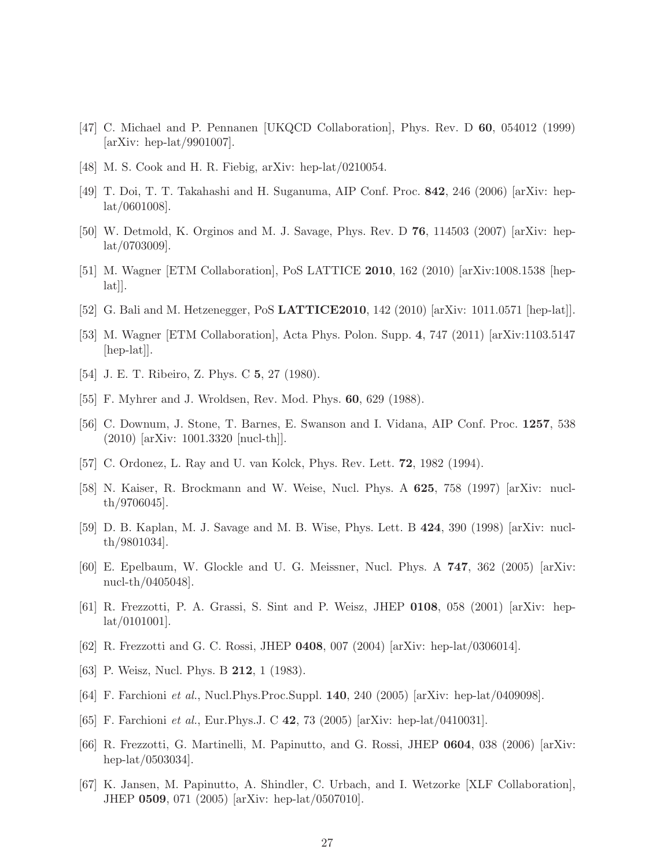- <span id="page-26-1"></span><span id="page-26-0"></span>[47] C. Michael and P. Pennanen [UKQCD Collaboration], Phys. Rev. D 60, 054012 (1999) [arXiv: hep-lat/9901007].
- <span id="page-26-2"></span>[48] M. S. Cook and H. R. Fiebig, arXiv: hep-lat/0210054.
- <span id="page-26-3"></span>[49] T. Doi, T. T. Takahashi and H. Suganuma, AIP Conf. Proc. 842, 246 (2006) [arXiv: heplat/0601008].
- <span id="page-26-5"></span>[50] W. Detmold, K. Orginos and M. J. Savage, Phys. Rev. D 76, 114503 (2007) [arXiv: heplat/0703009].
- <span id="page-26-4"></span>[51] M. Wagner [ETM Collaboration], PoS LATTICE 2010, 162 (2010) [arXiv:1008.1538 [hep- $[a_{\text{at}}]$ .
- <span id="page-26-6"></span>[52] G. Bali and M. Hetzenegger, PoS LATTICE2010, 142 (2010) [arXiv: 1011.0571 [hep-lat]].
- <span id="page-26-7"></span>[53] M. Wagner [ETM Collaboration], Acta Phys. Polon. Supp. 4, 747 (2011) [arXiv:1103.5147 [hep-lat].
- <span id="page-26-8"></span>[54] J. E. T. Ribeiro, Z. Phys. C 5, 27 (1980).
- <span id="page-26-9"></span>[55] F. Myhrer and J. Wroldsen, Rev. Mod. Phys. **60**, 629 (1988).
- [56] C. Downum, J. Stone, T. Barnes, E. Swanson and I. Vidana, AIP Conf. Proc. 1257, 538 (2010) [arXiv: 1001.3320 [nucl-th]].
- <span id="page-26-11"></span><span id="page-26-10"></span>[57] C. Ordonez, L. Ray and U. van Kolck, Phys. Rev. Lett. 72, 1982 (1994).
- [58] N. Kaiser, R. Brockmann and W. Weise, Nucl. Phys. A 625, 758 (1997) [arXiv: nuclth/9706045].
- <span id="page-26-12"></span>[59] D. B. Kaplan, M. J. Savage and M. B. Wise, Phys. Lett. B 424, 390 (1998) [arXiv: nuclth/9801034].
- <span id="page-26-13"></span>[60] E. Epelbaum, W. Glockle and U. G. Meissner, Nucl. Phys. A 747, 362 (2005) [arXiv: nucl-th/0405048].
- <span id="page-26-14"></span>[61] R. Frezzotti, P. A. Grassi, S. Sint and P. Weisz, JHEP 0108, 058 (2001) [arXiv: hep- $\frac{\text{lat}}{\text{0101001}}$ .
- <span id="page-26-16"></span><span id="page-26-15"></span>[62] R. Frezzotti and G. C. Rossi, JHEP 0408, 007 (2004) [arXiv: hep-lat/0306014].
- <span id="page-26-17"></span>[63] P. Weisz, Nucl. Phys. B **212**, 1 (1983).
- <span id="page-26-18"></span>[64] F. Farchioni et al., Nucl.Phys.Proc.Suppl. 140, 240 (2005) [arXiv: hep-lat/0409098].
- <span id="page-26-19"></span>[65] F. Farchioni et al., Eur.Phys.J. C 42, 73 (2005) [arXiv: hep-lat/0410031].
- [66] R. Frezzotti, G. Martinelli, M. Papinutto, and G. Rossi, JHEP 0604, 038 (2006) [arXiv: hep-lat/0503034].
- <span id="page-26-20"></span>[67] K. Jansen, M. Papinutto, A. Shindler, C. Urbach, and I. Wetzorke [XLF Collaboration], JHEP 0509, 071 (2005) [arXiv: hep-lat/0507010].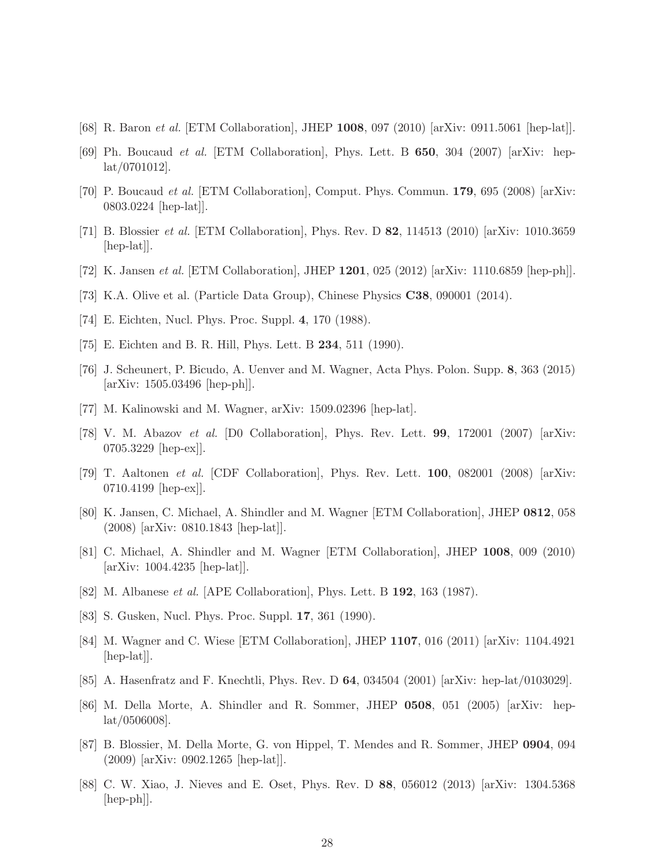- <span id="page-27-2"></span><span id="page-27-0"></span>[68] R. Baron et al. [ETM Collaboration], JHEP 1008, 097 (2010) [arXiv: 0911.5061 [hep-lat]].
- <span id="page-27-1"></span>[69] Ph. Boucaud *et al.* [ETM Collaboration], Phys. Lett. B **650**, 304 (2007) [arXiv: heplat/0701012].
- <span id="page-27-3"></span>[70] P. Boucaud et al. [ETM Collaboration], Comput. Phys. Commun. 179, 695 (2008) [arXiv: 0803.0224 [hep-lat]].
- <span id="page-27-4"></span>[71] B. Blossier et al. [ETM Collaboration], Phys. Rev. D 82, 114513 (2010) [arXiv: 1010.3659 [hep-lat].
- <span id="page-27-5"></span>[72] K. Jansen et al. [ETM Collaboration], JHEP 1201, 025 (2012) [arXiv: 1110.6859 [hep-ph]].
- <span id="page-27-6"></span>[73] K.A. Olive et al. (Particle Data Group), Chinese Physics C38, 090001 (2014).
- <span id="page-27-7"></span>[74] E. Eichten, Nucl. Phys. Proc. Suppl. 4, 170 (1988).
- <span id="page-27-8"></span>[75] E. Eichten and B. R. Hill, Phys. Lett. B 234, 511 (1990).
- [76] J. Scheunert, P. Bicudo, A. Uenver and M. Wagner, Acta Phys. Polon. Supp. 8, 363 (2015) [arXiv: 1505.03496 [hep-ph]].
- <span id="page-27-13"></span><span id="page-27-9"></span>[77] M. Kalinowski and M. Wagner, arXiv: 1509.02396 [hep-lat].
- [78] V. M. Abazov et al. [D0 Collaboration], Phys. Rev. Lett.  $99, 172001$  (2007) [arXiv: 0705.3229 [hep-ex]].
- <span id="page-27-10"></span>[79] T. Aaltonen *et al.* [CDF Collaboration], Phys. Rev. Lett. **100**, 082001 (2008) [arXiv: 0710.4199 [hep-ex]].
- <span id="page-27-11"></span>[80] K. Jansen, C. Michael, A. Shindler and M. Wagner [ETM Collaboration], JHEP 0812, 058 (2008) [arXiv: 0810.1843 [hep-lat]].
- <span id="page-27-14"></span><span id="page-27-12"></span>[81] C. Michael, A. Shindler and M. Wagner [ETM Collaboration], JHEP 1008, 009 (2010) [arXiv: 1004.4235 [hep-lat]].
- <span id="page-27-15"></span>[82] M. Albanese *et al.* [APE Collaboration], Phys. Lett. B **192**, 163 (1987).
- <span id="page-27-16"></span>[83] S. Gusken, Nucl. Phys. Proc. Suppl. 17, 361 (1990).
- [84] M. Wagner and C. Wiese [ETM Collaboration], JHEP 1107, 016 (2011) [arXiv: 1104.4921 [hep-lat].
- <span id="page-27-18"></span><span id="page-27-17"></span>[85] A. Hasenfratz and F. Knechtli, Phys. Rev. D 64, 034504 (2001) [arXiv: hep-lat/0103029].
- [86] M. Della Morte, A. Shindler and R. Sommer, JHEP 0508, 051 (2005) [arXiv: heplat/0506008].
- <span id="page-27-19"></span>[87] B. Blossier, M. Della Morte, G. von Hippel, T. Mendes and R. Sommer, JHEP 0904, 094 (2009) [arXiv: 0902.1265 [hep-lat]].
- <span id="page-27-20"></span>[88] C. W. Xiao, J. Nieves and E. Oset, Phys. Rev. D 88, 056012 (2013) [arXiv: 1304.5368  $\vert \text{hep-ph} \vert$ .